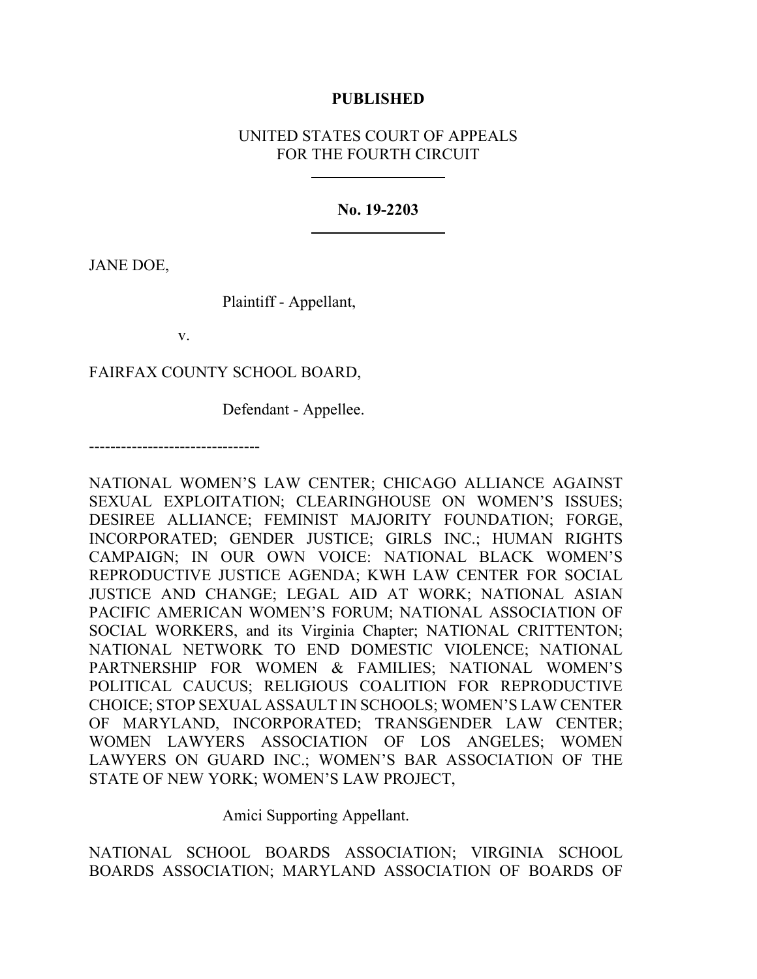## **PUBLISHED**

# UNITED STATES COURT OF APPEALS FOR THE FOURTH CIRCUIT

## **No. 19-2203**

JANE DOE,

Plaintiff - Appellant,

v.

--------------------------------

FAIRFAX COUNTY SCHOOL BOARD,

Defendant - Appellee.

NATIONAL WOMEN'S LAW CENTER; CHICAGO ALLIANCE AGAINST SEXUAL EXPLOITATION; CLEARINGHOUSE ON WOMEN'S ISSUES; DESIREE ALLIANCE; FEMINIST MAJORITY FOUNDATION; FORGE, INCORPORATED; GENDER JUSTICE; GIRLS INC.; HUMAN RIGHTS CAMPAIGN; IN OUR OWN VOICE: NATIONAL BLACK WOMEN'S REPRODUCTIVE JUSTICE AGENDA; KWH LAW CENTER FOR SOCIAL JUSTICE AND CHANGE; LEGAL AID AT WORK; NATIONAL ASIAN PACIFIC AMERICAN WOMEN'S FORUM; NATIONAL ASSOCIATION OF SOCIAL WORKERS, and its Virginia Chapter; NATIONAL CRITTENTON; NATIONAL NETWORK TO END DOMESTIC VIOLENCE; NATIONAL PARTNERSHIP FOR WOMEN & FAMILIES; NATIONAL WOMEN'S POLITICAL CAUCUS; RELIGIOUS COALITION FOR REPRODUCTIVE CHOICE; STOP SEXUAL ASSAULT IN SCHOOLS; WOMEN'S LAW CENTER OF MARYLAND, INCORPORATED; TRANSGENDER LAW CENTER; WOMEN LAWYERS ASSOCIATION OF LOS ANGELES; WOMEN LAWYERS ON GUARD INC.; WOMEN'S BAR ASSOCIATION OF THE STATE OF NEW YORK; WOMEN'S LAW PROJECT,

Amici Supporting Appellant.

NATIONAL SCHOOL BOARDS ASSOCIATION; VIRGINIA SCHOOL BOARDS ASSOCIATION; MARYLAND ASSOCIATION OF BOARDS OF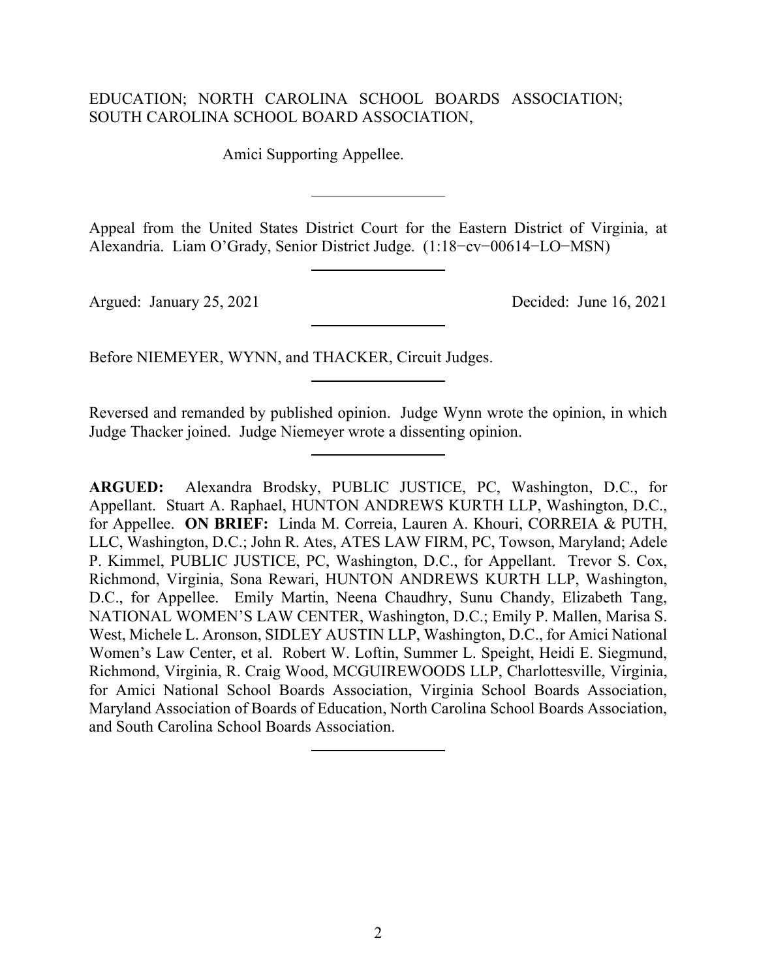# EDUCATION; NORTH CAROLINA SCHOOL BOARDS ASSOCIATION; SOUTH CAROLINA SCHOOL BOARD ASSOCIATION,

Amici Supporting Appellee.

Appeal from the United States District Court for the Eastern District of Virginia, at Alexandria. Liam O'Grady, Senior District Judge. (1:18−cv−00614−LO−MSN)

Argued: January 25, 2021 Decided: June 16, 2021

Before NIEMEYER, WYNN, and THACKER, Circuit Judges.

Reversed and remanded by published opinion. Judge Wynn wrote the opinion, in which Judge Thacker joined. Judge Niemeyer wrote a dissenting opinion.

**ARGUED:** Alexandra Brodsky, PUBLIC JUSTICE, PC, Washington, D.C., for Appellant. Stuart A. Raphael, HUNTON ANDREWS KURTH LLP, Washington, D.C., for Appellee. **ON BRIEF:** Linda M. Correia, Lauren A. Khouri, CORREIA & PUTH, LLC, Washington, D.C.; John R. Ates, ATES LAW FIRM, PC, Towson, Maryland; Adele P. Kimmel, PUBLIC JUSTICE, PC, Washington, D.C., for Appellant. Trevor S. Cox, Richmond, Virginia, Sona Rewari, HUNTON ANDREWS KURTH LLP, Washington, D.C., for Appellee. Emily Martin, Neena Chaudhry, Sunu Chandy, Elizabeth Tang, NATIONAL WOMEN'S LAW CENTER, Washington, D.C.; Emily P. Mallen, Marisa S. West, Michele L. Aronson, SIDLEY AUSTIN LLP, Washington, D.C., for Amici National Women's Law Center, et al. Robert W. Loftin, Summer L. Speight, Heidi E. Siegmund, Richmond, Virginia, R. Craig Wood, MCGUIREWOODS LLP, Charlottesville, Virginia, for Amici National School Boards Association, Virginia School Boards Association, Maryland Association of Boards of Education, North Carolina School Boards Association, and South Carolina School Boards Association.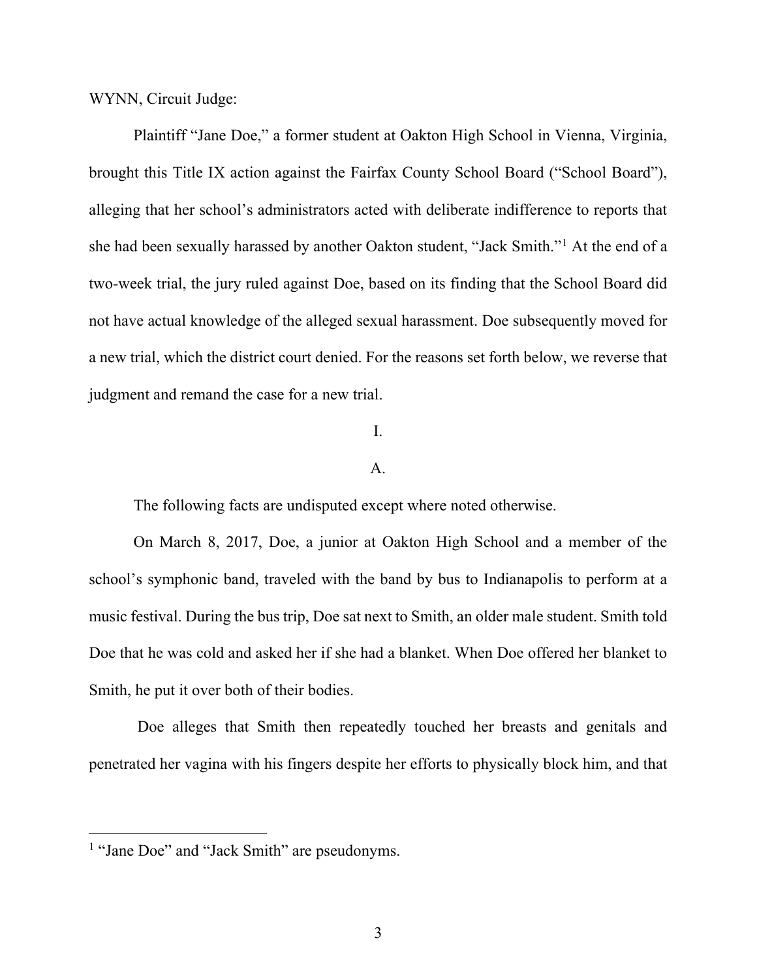WYNN, Circuit Judge:

Plaintiff "Jane Doe," a former student at Oakton High School in Vienna, Virginia, brought this Title IX action against the Fairfax County School Board ("School Board"), alleging that her school's administrators acted with deliberate indifference to reports that she had been sexually harassed by another Oakton student, "Jack Smith."[1](#page-2-0) At the end of a two-week trial, the jury ruled against Doe, based on its finding that the School Board did not have actual knowledge of the alleged sexual harassment. Doe subsequently moved for a new trial, which the district court denied. For the reasons set forth below, we reverse that judgment and remand the case for a new trial.

# I.

#### A.

The following facts are undisputed except where noted otherwise.

On March 8, 2017, Doe, a junior at Oakton High School and a member of the school's symphonic band, traveled with the band by bus to Indianapolis to perform at a music festival. During the bus trip, Doe sat next to Smith, an older male student. Smith told Doe that he was cold and asked her if she had a blanket. When Doe offered her blanket to Smith, he put it over both of their bodies.

Doe alleges that Smith then repeatedly touched her breasts and genitals and penetrated her vagina with his fingers despite her efforts to physically block him, and that

<span id="page-2-0"></span><sup>&</sup>lt;sup>1</sup> "Jane Doe" and "Jack Smith" are pseudonyms.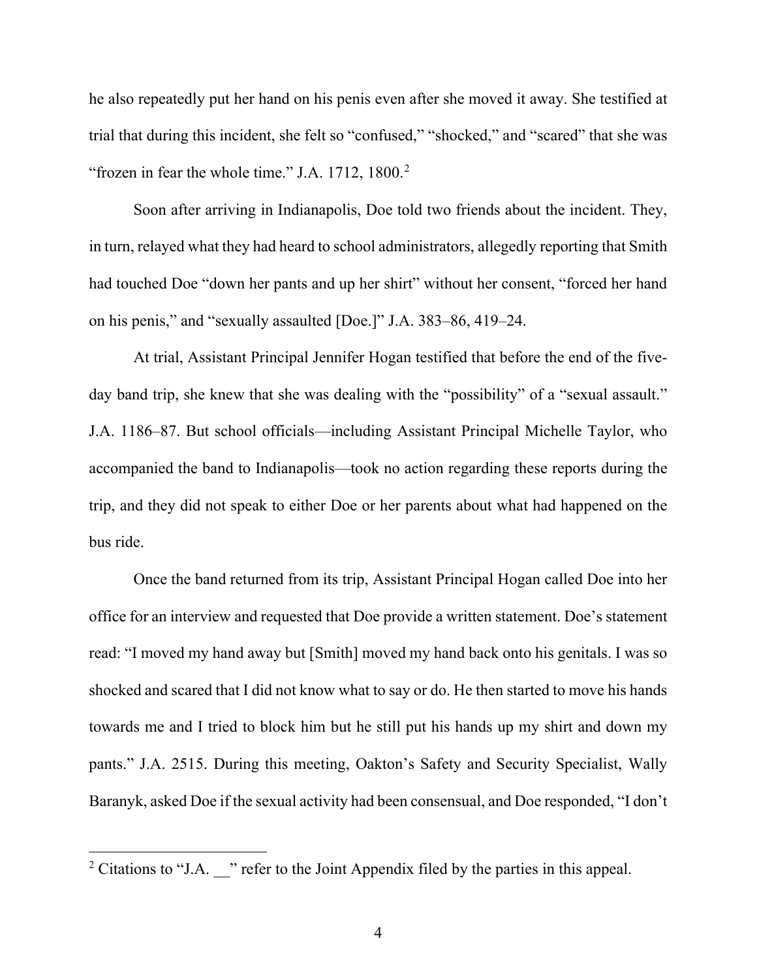he also repeatedly put her hand on his penis even after she moved it away. She testified at trial that during this incident, she felt so "confused," "shocked," and "scared" that she was "frozen in fear the whole time." J.A. 171[2](#page-3-0), 1800.<sup>2</sup>

Soon after arriving in Indianapolis, Doe told two friends about the incident. They, in turn, relayed what they had heard to school administrators, allegedly reporting that Smith had touched Doe "down her pants and up her shirt" without her consent, "forced her hand on his penis," and "sexually assaulted [Doe.]" J.A. 383–86, 419–24.

At trial, Assistant Principal Jennifer Hogan testified that before the end of the fiveday band trip, she knew that she was dealing with the "possibility" of a "sexual assault." J.A. 1186–87. But school officials—including Assistant Principal Michelle Taylor, who accompanied the band to Indianapolis—took no action regarding these reports during the trip, and they did not speak to either Doe or her parents about what had happened on the bus ride.

Once the band returned from its trip, Assistant Principal Hogan called Doe into her office for an interview and requested that Doe provide a written statement. Doe's statement read: "I moved my hand away but [Smith] moved my hand back onto his genitals. I was so shocked and scared that I did not know what to say or do. He then started to move his hands towards me and I tried to block him but he still put his hands up my shirt and down my pants." J.A. 2515. During this meeting, Oakton's Safety and Security Specialist, Wally Baranyk, asked Doe if the sexual activity had been consensual, and Doe responded, "I don't

<span id="page-3-0"></span><sup>&</sup>lt;sup>2</sup> Citations to "J.A. <sup>2</sup>" refer to the Joint Appendix filed by the parties in this appeal.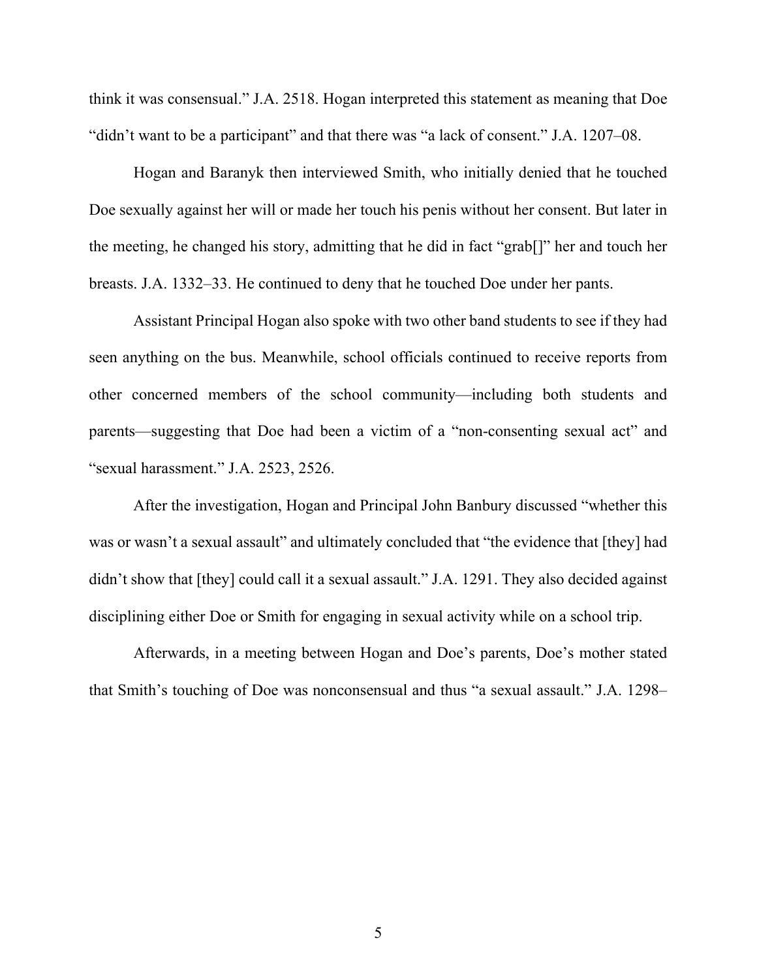think it was consensual." J.A. 2518. Hogan interpreted this statement as meaning that Doe "didn't want to be a participant" and that there was "a lack of consent." J.A. 1207–08.

Hogan and Baranyk then interviewed Smith, who initially denied that he touched Doe sexually against her will or made her touch his penis without her consent. But later in the meeting, he changed his story, admitting that he did in fact "grab[]" her and touch her breasts. J.A. 1332–33. He continued to deny that he touched Doe under her pants.

Assistant Principal Hogan also spoke with two other band students to see if they had seen anything on the bus. Meanwhile, school officials continued to receive reports from other concerned members of the school community—including both students and parents—suggesting that Doe had been a victim of a "non-consenting sexual act" and "sexual harassment." J.A. 2523, 2526.

After the investigation, Hogan and Principal John Banbury discussed "whether this was or wasn't a sexual assault" and ultimately concluded that "the evidence that [they] had didn't show that [they] could call it a sexual assault." J.A. 1291. They also decided against disciplining either Doe or Smith for engaging in sexual activity while on a school trip.

Afterwards, in a meeting between Hogan and Doe's parents, Doe's mother stated that Smith's touching of Doe was nonconsensual and thus "a sexual assault." J.A. 1298–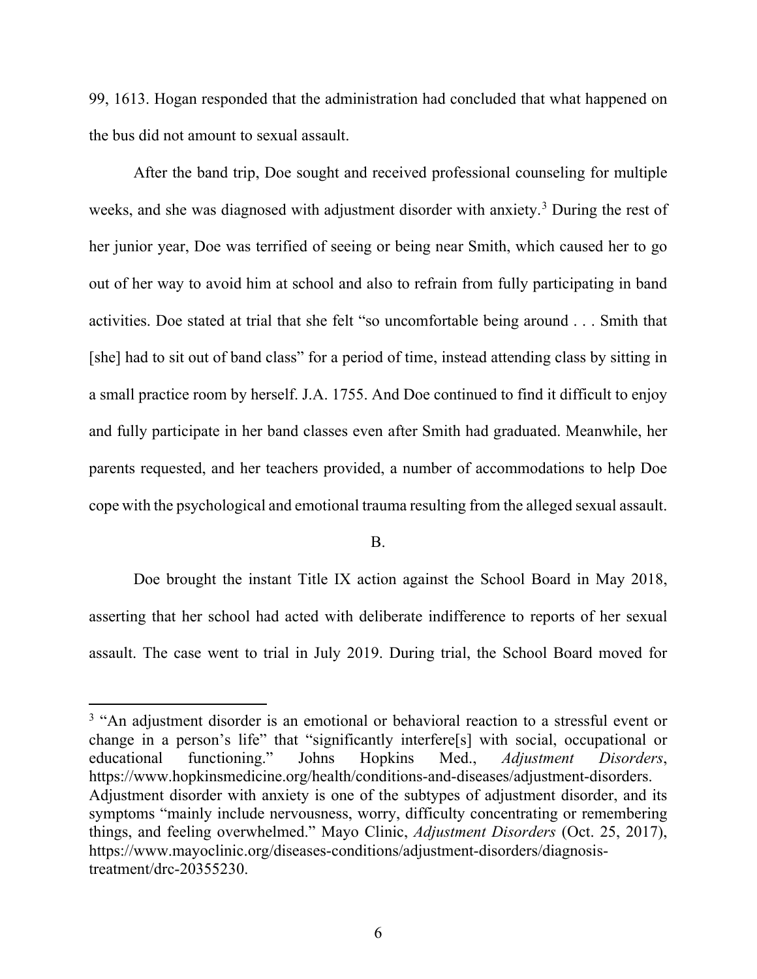99, 1613. Hogan responded that the administration had concluded that what happened on the bus did not amount to sexual assault.

After the band trip, Doe sought and received professional counseling for multiple weeks, and she was diagnosed with adjustment disorder with anxiety.<sup>[3](#page-5-0)</sup> During the rest of her junior year, Doe was terrified of seeing or being near Smith, which caused her to go out of her way to avoid him at school and also to refrain from fully participating in band activities. Doe stated at trial that she felt "so uncomfortable being around . . . Smith that [she] had to sit out of band class" for a period of time, instead attending class by sitting in a small practice room by herself. J.A. 1755. And Doe continued to find it difficult to enjoy and fully participate in her band classes even after Smith had graduated. Meanwhile, her parents requested, and her teachers provided, a number of accommodations to help Doe cope with the psychological and emotional trauma resulting from the alleged sexual assault.

## B.

Doe brought the instant Title IX action against the School Board in May 2018, asserting that her school had acted with deliberate indifference to reports of her sexual assault. The case went to trial in July 2019. During trial, the School Board moved for

<span id="page-5-0"></span><sup>&</sup>lt;sup>3</sup> "An adjustment disorder is an emotional or behavioral reaction to a stressful event or change in a person's life" that "significantly interfere[s] with social, occupational or educational functioning." Johns Hopkins Med., *Adjustment Disorders*, https://www.hopkinsmedicine.org/health/conditions-and-diseases/adjustment-disorders. Adjustment disorder with anxiety is one of the subtypes of adjustment disorder, and its symptoms "mainly include nervousness, worry, difficulty concentrating or remembering things, and feeling overwhelmed." Mayo Clinic, *Adjustment Disorders* (Oct. 25, 2017), https://www.mayoclinic.org/diseases-conditions/adjustment-disorders/diagnosistreatment/drc-20355230.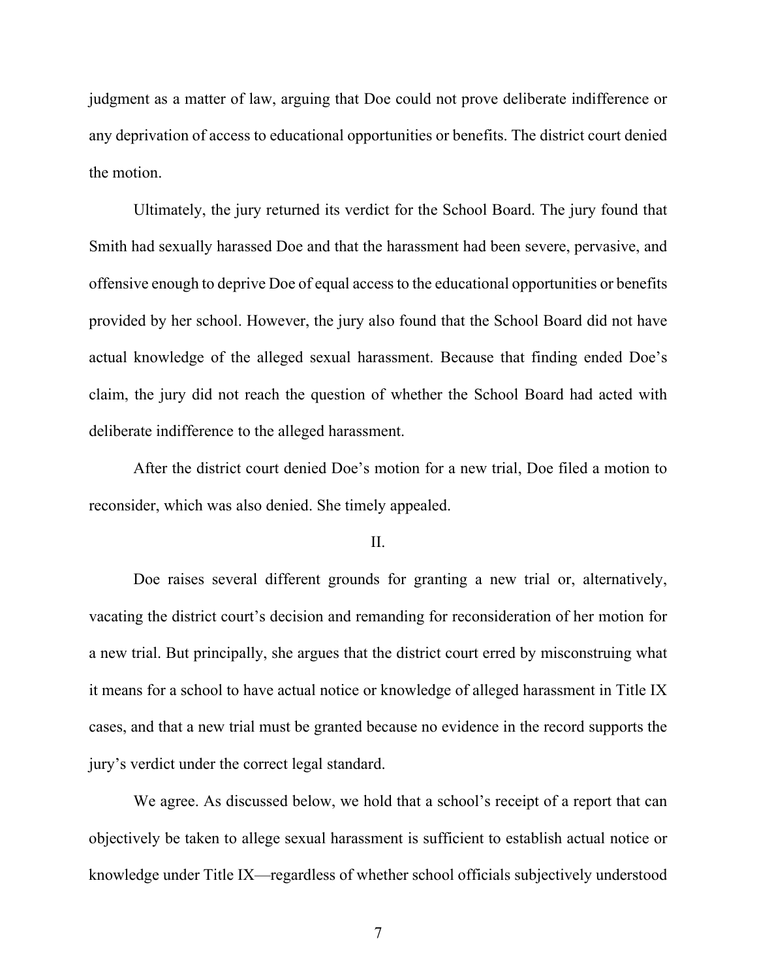judgment as a matter of law, arguing that Doe could not prove deliberate indifference or any deprivation of access to educational opportunities or benefits. The district court denied the motion.

Ultimately, the jury returned its verdict for the School Board. The jury found that Smith had sexually harassed Doe and that the harassment had been severe, pervasive, and offensive enough to deprive Doe of equal access to the educational opportunities or benefits provided by her school. However, the jury also found that the School Board did not have actual knowledge of the alleged sexual harassment. Because that finding ended Doe's claim, the jury did not reach the question of whether the School Board had acted with deliberate indifference to the alleged harassment.

After the district court denied Doe's motion for a new trial, Doe filed a motion to reconsider, which was also denied. She timely appealed.

#### II.

Doe raises several different grounds for granting a new trial or, alternatively, vacating the district court's decision and remanding for reconsideration of her motion for a new trial. But principally, she argues that the district court erred by misconstruing what it means for a school to have actual notice or knowledge of alleged harassment in Title IX cases, and that a new trial must be granted because no evidence in the record supports the jury's verdict under the correct legal standard.

We agree. As discussed below, we hold that a school's receipt of a report that can objectively be taken to allege sexual harassment is sufficient to establish actual notice or knowledge under Title IX—regardless of whether school officials subjectively understood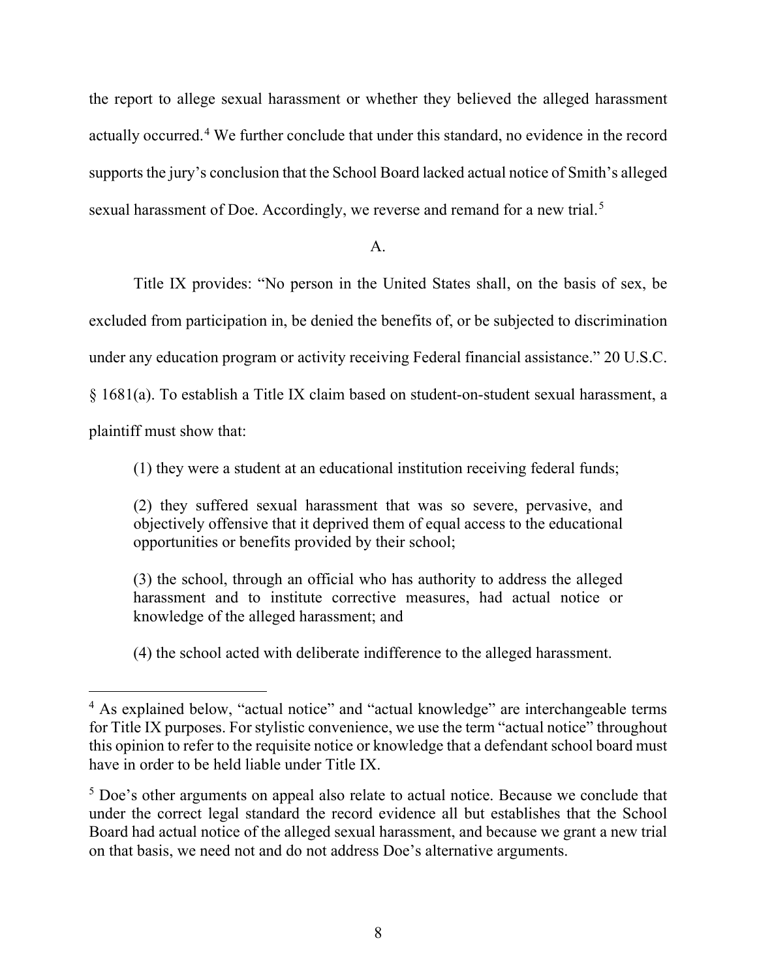the report to allege sexual harassment or whether they believed the alleged harassment actually occurred. [4](#page-7-0) We further conclude that under this standard, no evidence in the record supports the jury's conclusion that the School Board lacked actual notice of Smith's alleged sexual harassment of Doe. Accordingly, we reverse and remand for a new trial.<sup>[5](#page-7-1)</sup>

# A.

Title IX provides: "No person in the United States shall, on the basis of sex, be excluded from participation in, be denied the benefits of, or be subjected to discrimination under any education program or activity receiving Federal financial assistance." 20 U.S.C. § 1681(a). To establish a Title IX claim based on student-on-student sexual harassment, a plaintiff must show that:

(1) they were a student at an educational institution receiving federal funds;

(2) they suffered sexual harassment that was so severe, pervasive, and objectively offensive that it deprived them of equal access to the educational opportunities or benefits provided by their school;

(3) the school, through an official who has authority to address the alleged harassment and to institute corrective measures, had actual notice or knowledge of the alleged harassment; and

(4) the school acted with deliberate indifference to the alleged harassment.

<span id="page-7-0"></span><sup>&</sup>lt;sup>4</sup> As explained below, "actual notice" and "actual knowledge" are interchangeable terms for Title IX purposes. For stylistic convenience, we use the term "actual notice" throughout this opinion to refer to the requisite notice or knowledge that a defendant school board must have in order to be held liable under Title IX.

<span id="page-7-1"></span><sup>&</sup>lt;sup>5</sup> Doe's other arguments on appeal also relate to actual notice. Because we conclude that under the correct legal standard the record evidence all but establishes that the School Board had actual notice of the alleged sexual harassment, and because we grant a new trial on that basis, we need not and do not address Doe's alternative arguments.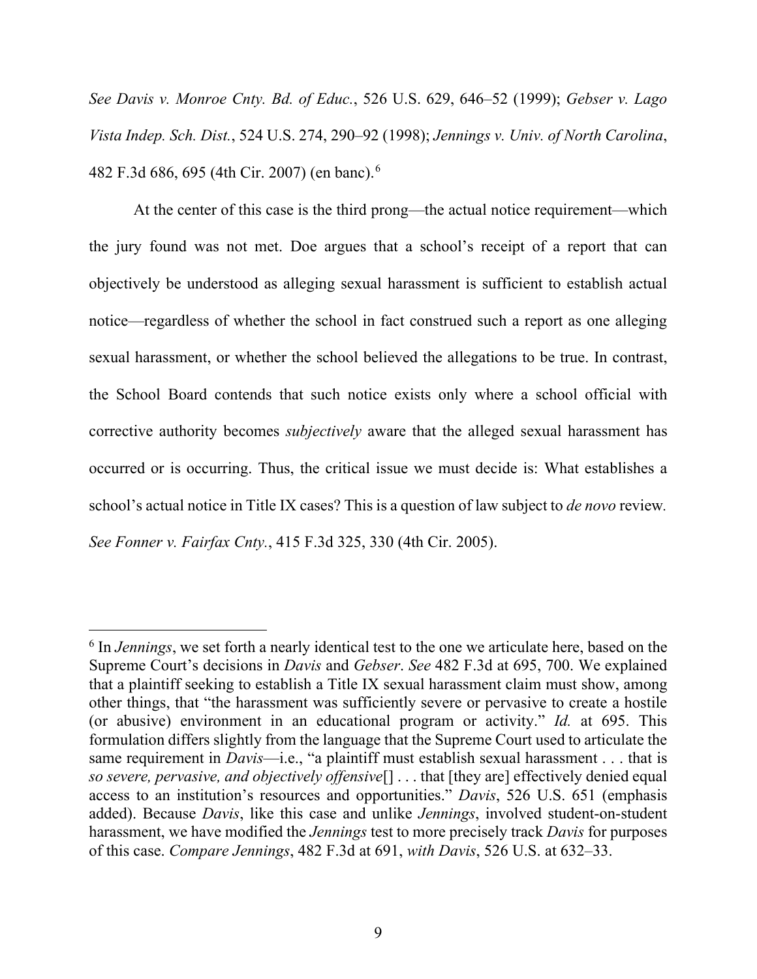*See Davis v. Monroe Cnty. Bd. of Educ.*, 526 U.S. 629, 646–52 (1999); *Gebser v. Lago Vista Indep. Sch. Dist.*, 524 U.S. 274, 290–92 (1998); *Jennings v. Univ. of North Carolina*, 482 F.3d 686, 695 (4th Cir. 2007) (en banc).[6](#page-8-0)

At the center of this case is the third prong—the actual notice requirement—which the jury found was not met. Doe argues that a school's receipt of a report that can objectively be understood as alleging sexual harassment is sufficient to establish actual notice—regardless of whether the school in fact construed such a report as one alleging sexual harassment, or whether the school believed the allegations to be true. In contrast, the School Board contends that such notice exists only where a school official with corrective authority becomes *subjectively* aware that the alleged sexual harassment has occurred or is occurring. Thus, the critical issue we must decide is: What establishes a school's actual notice in Title IX cases? This is a question of law subject to *de novo* review*. See Fonner v. Fairfax Cnty.*, 415 F.3d 325, 330 (4th Cir. 2005).

<span id="page-8-0"></span><sup>6</sup> In *Jennings*, we set forth a nearly identical test to the one we articulate here, based on the Supreme Court's decisions in *Davis* and *Gebser*. *See* 482 F.3d at 695, 700. We explained that a plaintiff seeking to establish a Title IX sexual harassment claim must show, among other things, that "the harassment was sufficiently severe or pervasive to create a hostile (or abusive) environment in an educational program or activity." *Id.* at 695. This formulation differs slightly from the language that the Supreme Court used to articulate the same requirement in *Davis*—i.e., "a plaintiff must establish sexual harassment . . . that is *so severe, pervasive, and objectively offensive*[] . . . that [they are] effectively denied equal access to an institution's resources and opportunities." *Davis*, 526 U.S. 651 (emphasis added). Because *Davis*, like this case and unlike *Jennings*, involved student-on-student harassment, we have modified the *Jennings* test to more precisely track *Davis* for purposes of this case. *Compare Jennings*, 482 F.3d at 691, *with Davis*, 526 U.S. at 632–33.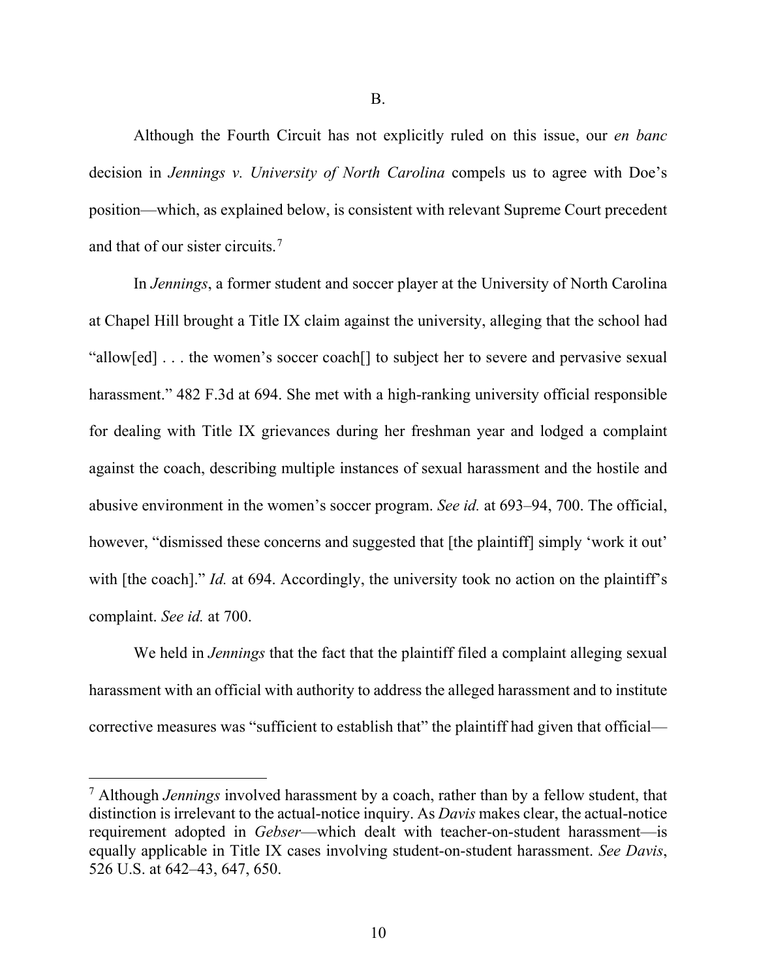Although the Fourth Circuit has not explicitly ruled on this issue, our *en banc*  decision in *Jennings v. University of North Carolina* compels us to agree with Doe's position—which, as explained below, is consistent with relevant Supreme Court precedent and that of our sister circuits.[7](#page-9-0)

In *Jennings*, a former student and soccer player at the University of North Carolina at Chapel Hill brought a Title IX claim against the university, alleging that the school had "allow[ed] . . . the women's soccer coach[] to subject her to severe and pervasive sexual harassment." 482 F.3d at 694. She met with a high-ranking university official responsible for dealing with Title IX grievances during her freshman year and lodged a complaint against the coach, describing multiple instances of sexual harassment and the hostile and abusive environment in the women's soccer program. *See id.* at 693–94, 700. The official, however, "dismissed these concerns and suggested that [the plaintiff] simply 'work it out' with [the coach]." *Id.* at 694. Accordingly, the university took no action on the plaintiff's complaint. *See id.* at 700.

We held in *Jennings* that the fact that the plaintiff filed a complaint alleging sexual harassment with an official with authority to address the alleged harassment and to institute corrective measures was "sufficient to establish that" the plaintiff had given that official—

<span id="page-9-0"></span><sup>7</sup> Although *Jennings* involved harassment by a coach, rather than by a fellow student, that distinction is irrelevant to the actual-notice inquiry. As *Davis* makes clear, the actual-notice requirement adopted in *Gebser*—which dealt with teacher-on-student harassment—is equally applicable in Title IX cases involving student-on-student harassment. *See Davis*, 526 U.S. at 642–43, 647, 650.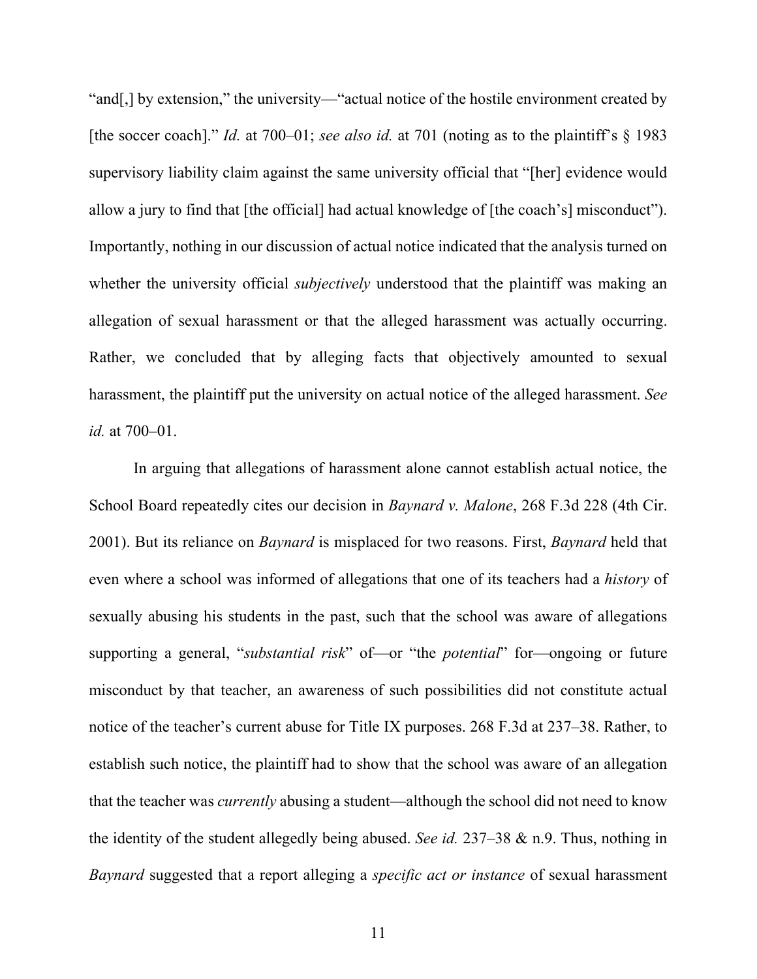"and[,] by extension," the university—"actual notice of the hostile environment created by [the soccer coach]." *Id.* at 700–01; *see also id.* at 701 (noting as to the plaintiff's § 1983 supervisory liability claim against the same university official that "[her] evidence would allow a jury to find that [the official] had actual knowledge of [the coach's] misconduct"). Importantly, nothing in our discussion of actual notice indicated that the analysis turned on whether the university official *subjectively* understood that the plaintiff was making an allegation of sexual harassment or that the alleged harassment was actually occurring. Rather, we concluded that by alleging facts that objectively amounted to sexual harassment, the plaintiff put the university on actual notice of the alleged harassment. *See id.* at 700–01.

In arguing that allegations of harassment alone cannot establish actual notice, the School Board repeatedly cites our decision in *Baynard v. Malone*, 268 F.3d 228 (4th Cir. 2001). But its reliance on *Baynard* is misplaced for two reasons. First, *Baynard* held that even where a school was informed of allegations that one of its teachers had a *history* of sexually abusing his students in the past, such that the school was aware of allegations supporting a general, "*substantial risk*" of—or "the *potential*" for—ongoing or future misconduct by that teacher, an awareness of such possibilities did not constitute actual notice of the teacher's current abuse for Title IX purposes. 268 F.3d at 237–38. Rather, to establish such notice, the plaintiff had to show that the school was aware of an allegation that the teacher was *currently* abusing a student—although the school did not need to know the identity of the student allegedly being abused. *See id.* 237–38 & n.9. Thus, nothing in *Baynard* suggested that a report alleging a *specific act or instance* of sexual harassment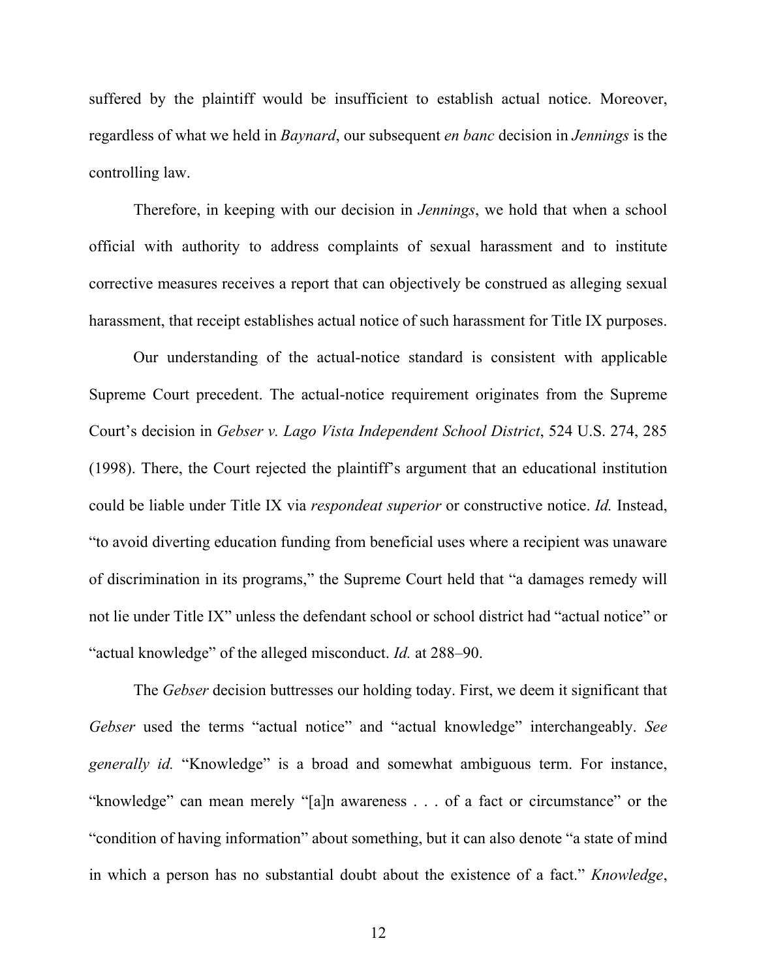suffered by the plaintiff would be insufficient to establish actual notice. Moreover, regardless of what we held in *Baynard*, our subsequent *en banc* decision in *Jennings* is the controlling law.

Therefore, in keeping with our decision in *Jennings*, we hold that when a school official with authority to address complaints of sexual harassment and to institute corrective measures receives a report that can objectively be construed as alleging sexual harassment, that receipt establishes actual notice of such harassment for Title IX purposes.

Our understanding of the actual-notice standard is consistent with applicable Supreme Court precedent. The actual-notice requirement originates from the Supreme Court's decision in *Gebser v. Lago Vista Independent School District*, 524 U.S. 274, 285 (1998). There, the Court rejected the plaintiff's argument that an educational institution could be liable under Title IX via *respondeat superior* or constructive notice. *Id.* Instead, "to avoid diverting education funding from beneficial uses where a recipient was unaware of discrimination in its programs," the Supreme Court held that "a damages remedy will not lie under Title IX" unless the defendant school or school district had "actual notice" or "actual knowledge" of the alleged misconduct. *Id.* at 288–90.

The *Gebser* decision buttresses our holding today. First, we deem it significant that *Gebser* used the terms "actual notice" and "actual knowledge" interchangeably. *See generally id.* "Knowledge" is a broad and somewhat ambiguous term. For instance, "knowledge" can mean merely "[a]n awareness . . . of a fact or circumstance" or the "condition of having information" about something, but it can also denote "a state of mind in which a person has no substantial doubt about the existence of a fact." *Knowledge*,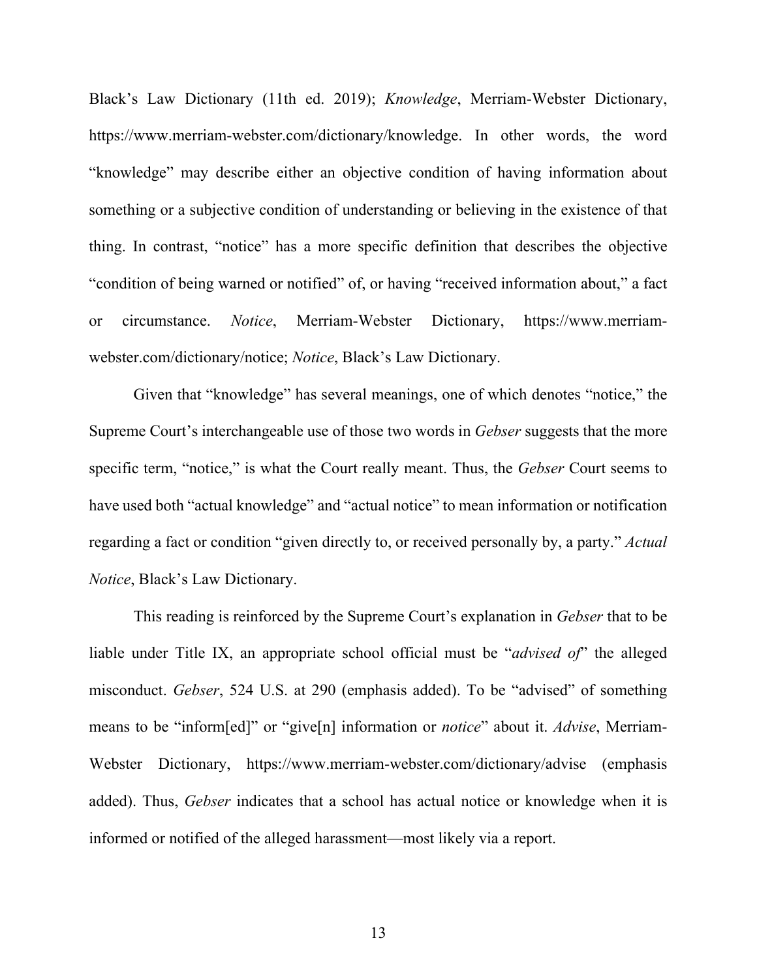Black's Law Dictionary (11th ed. 2019); *Knowledge*, Merriam-Webster Dictionary, https://www.merriam-webster.com/dictionary/knowledge. In other words, the word "knowledge" may describe either an objective condition of having information about something or a subjective condition of understanding or believing in the existence of that thing. In contrast, "notice" has a more specific definition that describes the objective "condition of being warned or notified" of, or having "received information about," a fact or circumstance. *Notice*, Merriam-Webster Dictionary, https://www.merriamwebster.com/dictionary/notice; *Notice*, Black's Law Dictionary.

Given that "knowledge" has several meanings, one of which denotes "notice," the Supreme Court's interchangeable use of those two words in *Gebser* suggests that the more specific term, "notice," is what the Court really meant. Thus, the *Gebser* Court seems to have used both "actual knowledge" and "actual notice" to mean information or notification regarding a fact or condition "given directly to, or received personally by, a party." *Actual Notice*, Black's Law Dictionary.

This reading is reinforced by the Supreme Court's explanation in *Gebser* that to be liable under Title IX, an appropriate school official must be "*advised of*" the alleged misconduct. *Gebser*, 524 U.S. at 290 (emphasis added). To be "advised" of something means to be "inform[ed]" or "give[n] information or *notice*" about it. *Advise*, Merriam-Webster Dictionary, https://www.merriam-webster.com/dictionary/advise (emphasis added). Thus, *Gebser* indicates that a school has actual notice or knowledge when it is informed or notified of the alleged harassment—most likely via a report.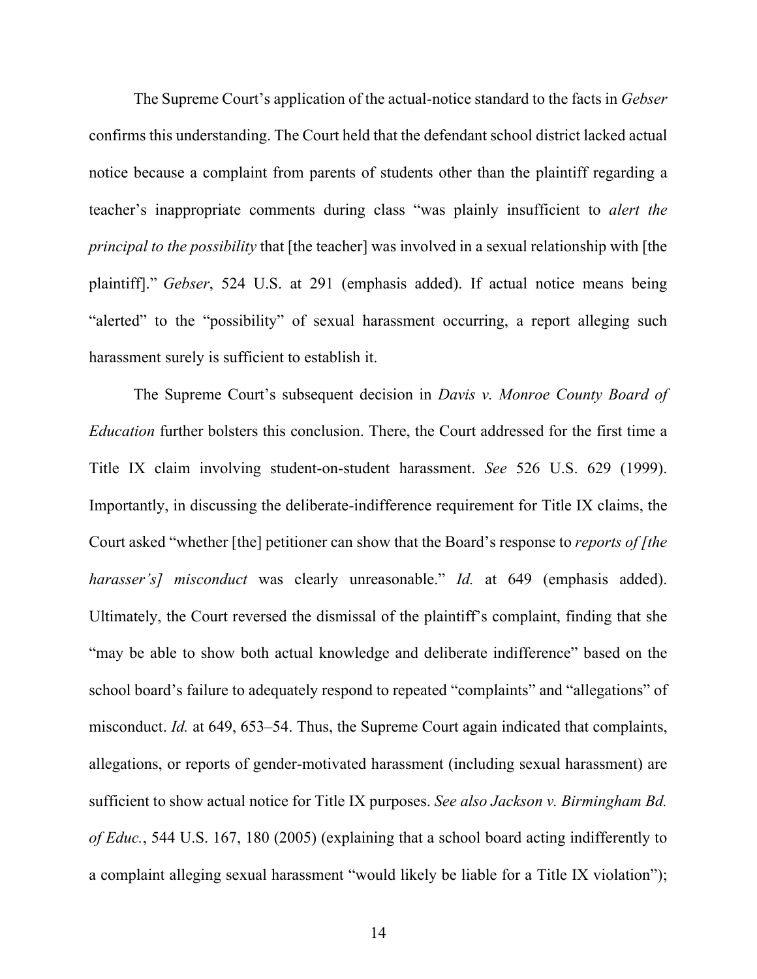The Supreme Court's application of the actual-notice standard to the facts in *Gebser*  confirms this understanding. The Court held that the defendant school district lacked actual notice because a complaint from parents of students other than the plaintiff regarding a teacher's inappropriate comments during class "was plainly insufficient to *alert the principal to the possibility* that [the teacher] was involved in a sexual relationship with [the plaintiff]." *Gebser*, 524 U.S. at 291 (emphasis added). If actual notice means being "alerted" to the "possibility" of sexual harassment occurring, a report alleging such harassment surely is sufficient to establish it.

The Supreme Court's subsequent decision in *Davis v. Monroe County Board of Education* further bolsters this conclusion. There, the Court addressed for the first time a Title IX claim involving student-on-student harassment. *See* 526 U.S. 629 (1999). Importantly, in discussing the deliberate-indifference requirement for Title IX claims, the Court asked "whether [the] petitioner can show that the Board's response to *reports of [the harasser's] misconduct* was clearly unreasonable." *Id.* at 649 (emphasis added). Ultimately, the Court reversed the dismissal of the plaintiff's complaint, finding that she "may be able to show both actual knowledge and deliberate indifference" based on the school board's failure to adequately respond to repeated "complaints" and "allegations" of misconduct. *Id.* at 649, 653–54. Thus, the Supreme Court again indicated that complaints, allegations, or reports of gender-motivated harassment (including sexual harassment) are sufficient to show actual notice for Title IX purposes. *See also Jackson v. Birmingham Bd. of Educ.*, 544 U.S. 167, 180 (2005) (explaining that a school board acting indifferently to a complaint alleging sexual harassment "would likely be liable for a Title IX violation");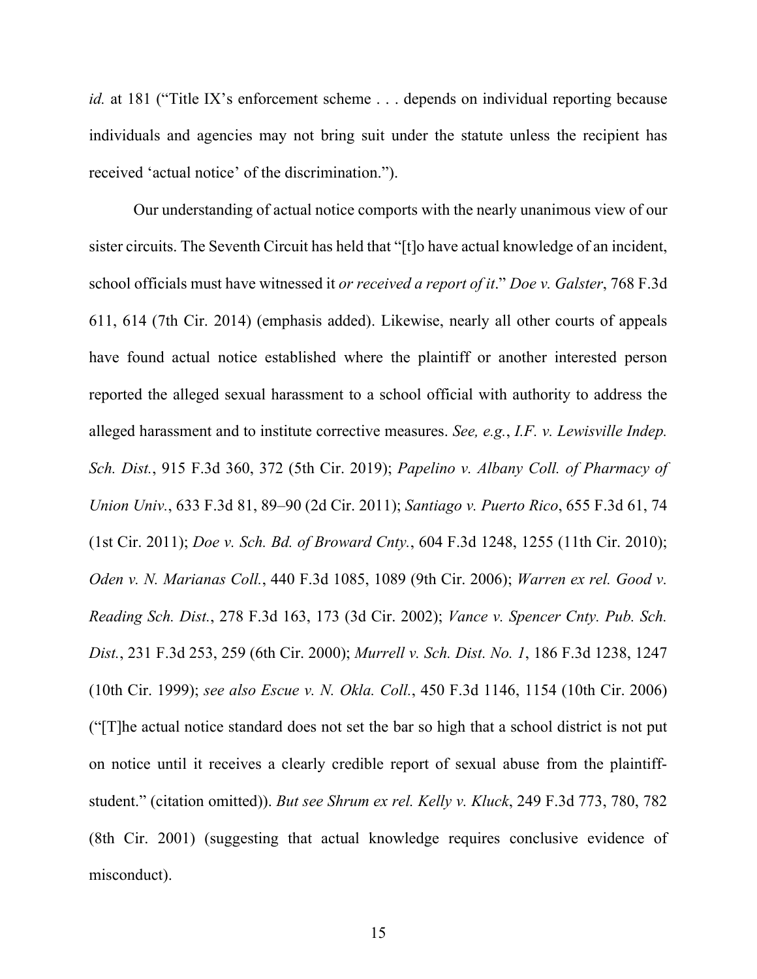*id.* at 181 ("Title IX's enforcement scheme . . . depends on individual reporting because individuals and agencies may not bring suit under the statute unless the recipient has received 'actual notice' of the discrimination.").

Our understanding of actual notice comports with the nearly unanimous view of our sister circuits. The Seventh Circuit has held that "[t]o have actual knowledge of an incident, school officials must have witnessed it *or received a report of it*." *Doe v. Galster*, 768 F.3d 611, 614 (7th Cir. 2014) (emphasis added). Likewise, nearly all other courts of appeals have found actual notice established where the plaintiff or another interested person reported the alleged sexual harassment to a school official with authority to address the alleged harassment and to institute corrective measures. *See, e.g.*, *I.F. v. Lewisville Indep. Sch. Dist.*, 915 F.3d 360, 372 (5th Cir. 2019); *Papelino v. Albany Coll. of Pharmacy of Union Univ.*, 633 F.3d 81, 89–90 (2d Cir. 2011); *Santiago v. Puerto Rico*, 655 F.3d 61, 74 (1st Cir. 2011); *Doe v. Sch. Bd. of Broward Cnty.*, 604 F.3d 1248, 1255 (11th Cir. 2010); *Oden v. N. Marianas Coll.*, 440 F.3d 1085, 1089 (9th Cir. 2006); *Warren ex rel. Good v. Reading Sch. Dist.*, 278 F.3d 163, 173 (3d Cir. 2002); *Vance v. Spencer Cnty. Pub. Sch. Dist.*, 231 F.3d 253, 259 (6th Cir. 2000); *Murrell v. Sch. Dist. No. 1*, 186 F.3d 1238, 1247 (10th Cir. 1999); *see also Escue v. N. Okla. Coll.*, 450 F.3d 1146, 1154 (10th Cir. 2006) ("[T]he actual notice standard does not set the bar so high that a school district is not put on notice until it receives a clearly credible report of sexual abuse from the plaintiffstudent." (citation omitted)). *But see Shrum ex rel. Kelly v. Kluck*, 249 F.3d 773, 780, 782 (8th Cir. 2001) (suggesting that actual knowledge requires conclusive evidence of misconduct).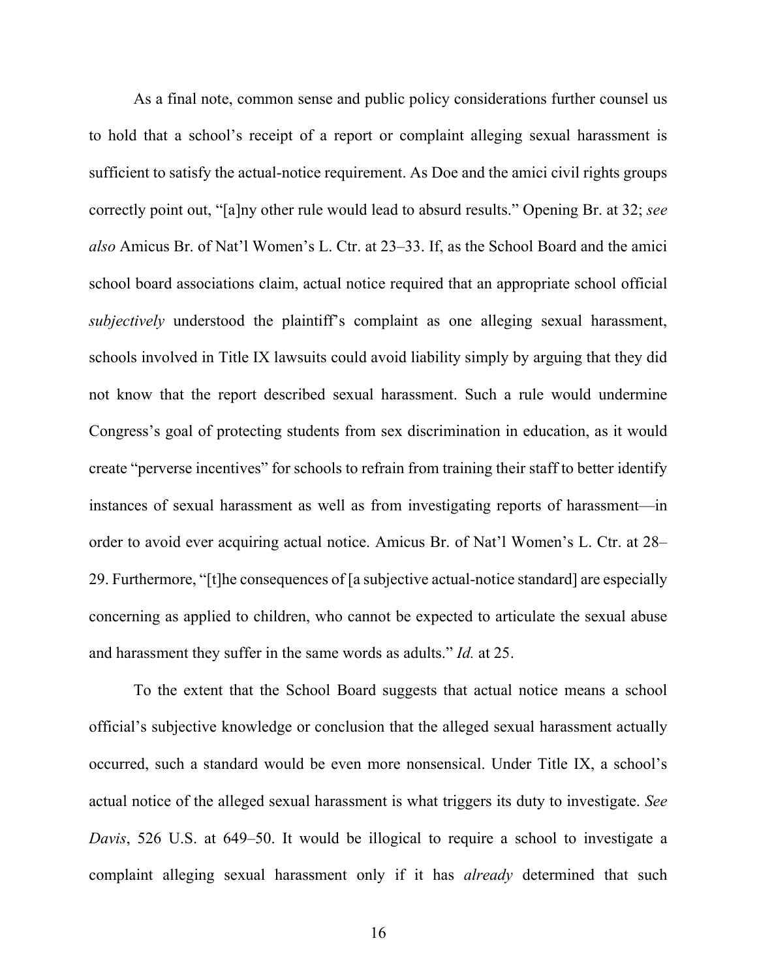As a final note, common sense and public policy considerations further counsel us to hold that a school's receipt of a report or complaint alleging sexual harassment is sufficient to satisfy the actual-notice requirement. As Doe and the amici civil rights groups correctly point out, "[a]ny other rule would lead to absurd results." Opening Br. at 32; *see also* Amicus Br. of Nat'l Women's L. Ctr. at 23–33. If, as the School Board and the amici school board associations claim, actual notice required that an appropriate school official *subjectively* understood the plaintiff's complaint as one alleging sexual harassment, schools involved in Title IX lawsuits could avoid liability simply by arguing that they did not know that the report described sexual harassment. Such a rule would undermine Congress's goal of protecting students from sex discrimination in education, as it would create "perverse incentives" for schools to refrain from training their staff to better identify instances of sexual harassment as well as from investigating reports of harassment—in order to avoid ever acquiring actual notice. Amicus Br. of Nat'l Women's L. Ctr. at 28– 29. Furthermore, "[t]he consequences of [a subjective actual-notice standard] are especially concerning as applied to children, who cannot be expected to articulate the sexual abuse and harassment they suffer in the same words as adults." *Id.* at 25.

To the extent that the School Board suggests that actual notice means a school official's subjective knowledge or conclusion that the alleged sexual harassment actually occurred, such a standard would be even more nonsensical. Under Title IX, a school's actual notice of the alleged sexual harassment is what triggers its duty to investigate. *See Davis*, 526 U.S. at 649–50. It would be illogical to require a school to investigate a complaint alleging sexual harassment only if it has *already* determined that such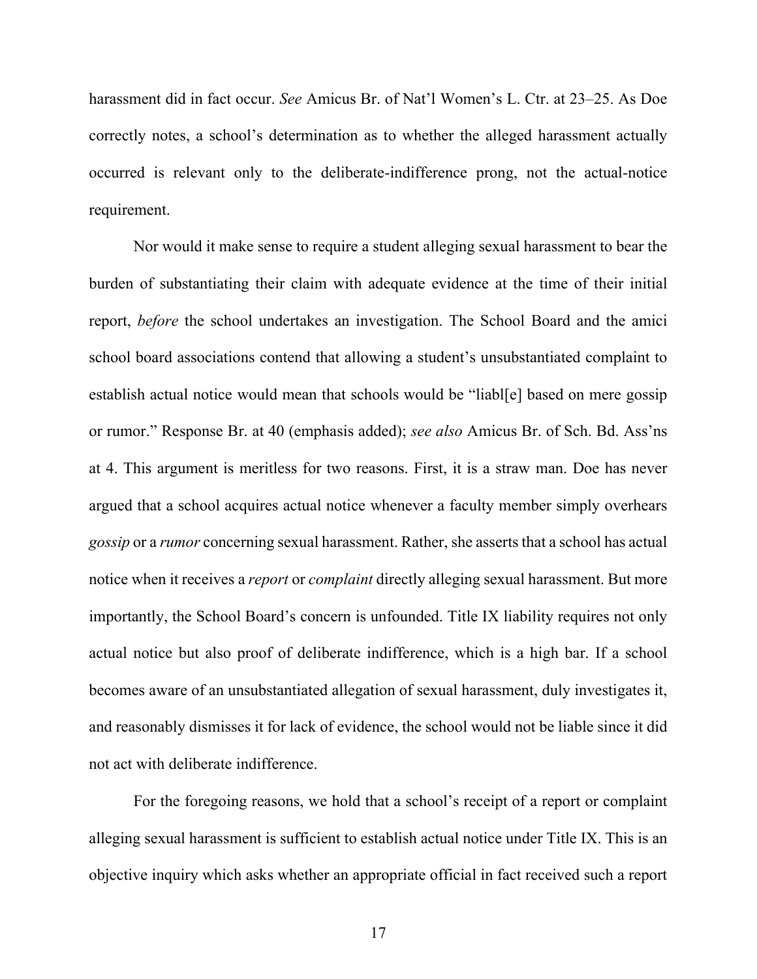harassment did in fact occur. *See* Amicus Br. of Nat'l Women's L. Ctr. at 23–25. As Doe correctly notes, a school's determination as to whether the alleged harassment actually occurred is relevant only to the deliberate-indifference prong, not the actual-notice requirement.

Nor would it make sense to require a student alleging sexual harassment to bear the burden of substantiating their claim with adequate evidence at the time of their initial report, *before* the school undertakes an investigation. The School Board and the amici school board associations contend that allowing a student's unsubstantiated complaint to establish actual notice would mean that schools would be "liabl[e] based on mere gossip or rumor." Response Br. at 40 (emphasis added); *see also* Amicus Br. of Sch. Bd. Ass'ns at 4. This argument is meritless for two reasons. First, it is a straw man. Doe has never argued that a school acquires actual notice whenever a faculty member simply overhears *gossip* or a *rumor* concerning sexual harassment. Rather, she asserts that a school has actual notice when it receives a *report* or *complaint* directly alleging sexual harassment. But more importantly, the School Board's concern is unfounded. Title IX liability requires not only actual notice but also proof of deliberate indifference, which is a high bar. If a school becomes aware of an unsubstantiated allegation of sexual harassment, duly investigates it, and reasonably dismisses it for lack of evidence, the school would not be liable since it did not act with deliberate indifference.

For the foregoing reasons, we hold that a school's receipt of a report or complaint alleging sexual harassment is sufficient to establish actual notice under Title IX. This is an objective inquiry which asks whether an appropriate official in fact received such a report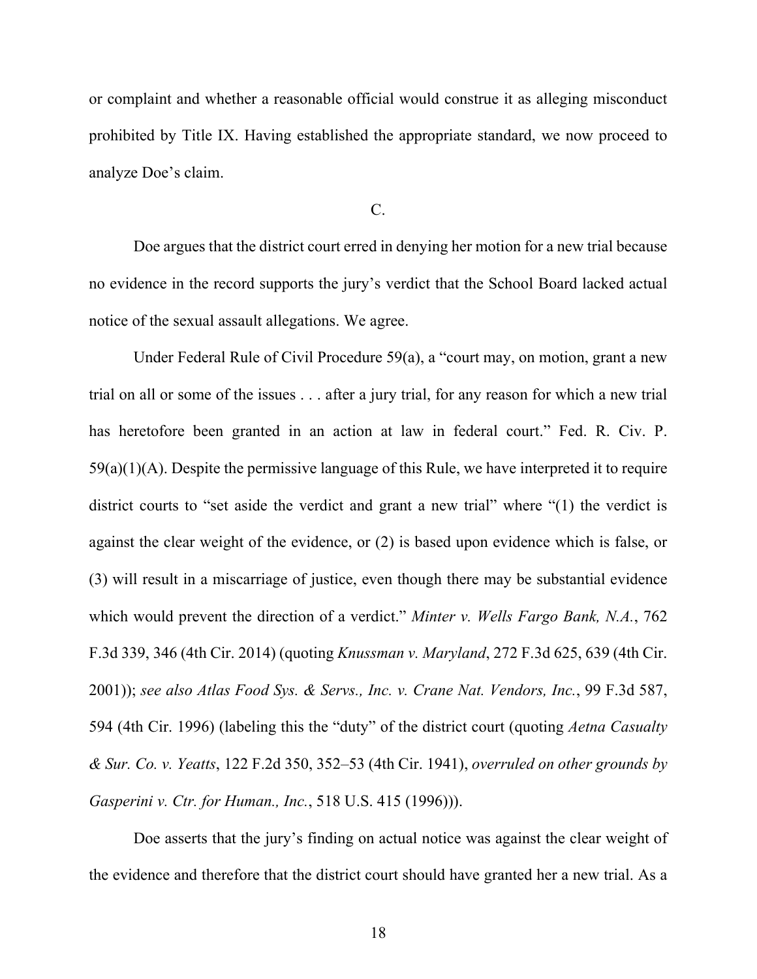or complaint and whether a reasonable official would construe it as alleging misconduct prohibited by Title IX. Having established the appropriate standard, we now proceed to analyze Doe's claim.

C.

Doe argues that the district court erred in denying her motion for a new trial because no evidence in the record supports the jury's verdict that the School Board lacked actual notice of the sexual assault allegations. We agree.

Under Federal Rule of Civil Procedure 59(a), a "court may, on motion, grant a new trial on all or some of the issues . . . after a jury trial, for any reason for which a new trial has heretofore been granted in an action at law in federal court." Fed. R. Civ. P.  $59(a)(1)(A)$ . Despite the permissive language of this Rule, we have interpreted it to require district courts to "set aside the verdict and grant a new trial" where "(1) the verdict is against the clear weight of the evidence, or (2) is based upon evidence which is false, or (3) will result in a miscarriage of justice, even though there may be substantial evidence which would prevent the direction of a verdict." *Minter v. Wells Fargo Bank, N.A.*, 762 F.3d 339, 346 (4th Cir. 2014) (quoting *Knussman v. Maryland*, 272 F.3d 625, 639 (4th Cir. 2001)); *see also Atlas Food Sys. & Servs., Inc. v. Crane Nat. Vendors, Inc.*, 99 F.3d 587, 594 (4th Cir. 1996) (labeling this the "duty" of the district court (quoting *Aetna Casualty & Sur. Co. v. Yeatts*, 122 F.2d 350, 352–53 (4th Cir. 1941), *overruled on other grounds by Gasperini v. Ctr. for Human., Inc.*, 518 U.S. 415 (1996))).

Doe asserts that the jury's finding on actual notice was against the clear weight of the evidence and therefore that the district court should have granted her a new trial. As a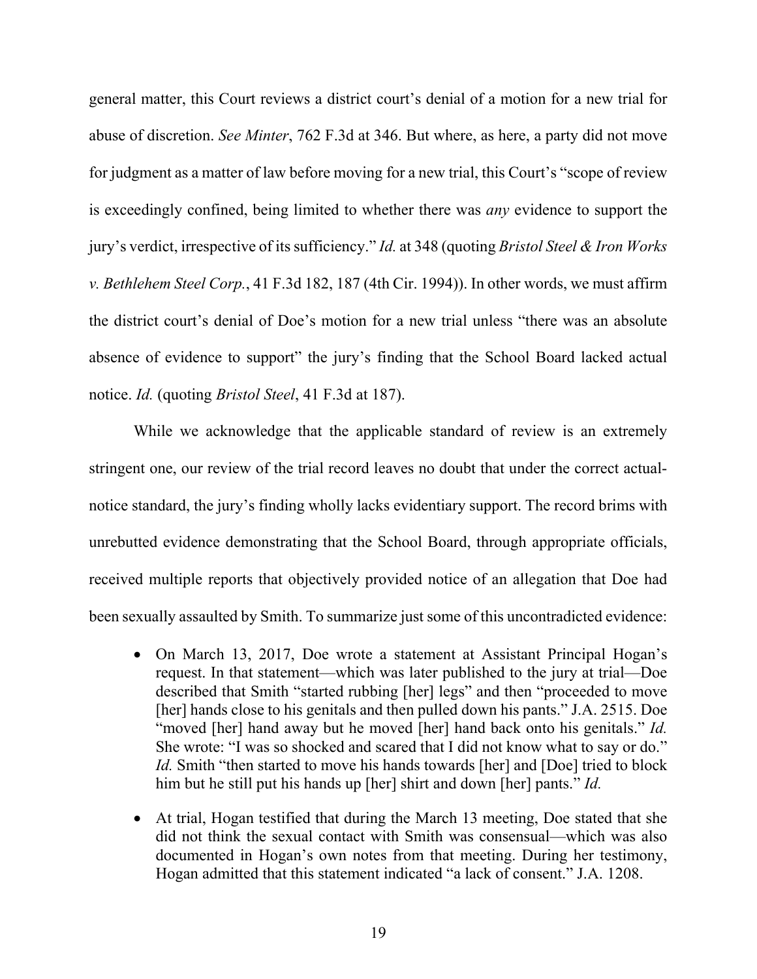general matter, this Court reviews a district court's denial of a motion for a new trial for abuse of discretion. *See Minter*, 762 F.3d at 346. But where, as here, a party did not move for judgment as a matter of law before moving for a new trial, this Court's "scope of review is exceedingly confined, being limited to whether there was *any* evidence to support the jury's verdict, irrespective of its sufficiency." *Id.* at 348 (quoting *Bristol Steel & Iron Works v. Bethlehem Steel Corp.*, 41 F.3d 182, 187 (4th Cir. 1994)). In other words, we must affirm the district court's denial of Doe's motion for a new trial unless "there was an absolute absence of evidence to support" the jury's finding that the School Board lacked actual notice. *Id.* (quoting *Bristol Steel*, 41 F.3d at 187).

While we acknowledge that the applicable standard of review is an extremely stringent one, our review of the trial record leaves no doubt that under the correct actualnotice standard, the jury's finding wholly lacks evidentiary support. The record brims with unrebutted evidence demonstrating that the School Board, through appropriate officials, received multiple reports that objectively provided notice of an allegation that Doe had been sexually assaulted by Smith. To summarize just some of this uncontradicted evidence:

- On March 13, 2017, Doe wrote a statement at Assistant Principal Hogan's request. In that statement—which was later published to the jury at trial—Doe described that Smith "started rubbing [her] legs" and then "proceeded to move [her] hands close to his genitals and then pulled down his pants." J.A. 2515. Doe "moved [her] hand away but he moved [her] hand back onto his genitals." *Id.* She wrote: "I was so shocked and scared that I did not know what to say or do." *Id.* Smith "then started to move his hands towards [her] and [Doe] tried to block him but he still put his hands up [her] shirt and down [her] pants." *Id.*
- At trial, Hogan testified that during the March 13 meeting, Doe stated that she did not think the sexual contact with Smith was consensual—which was also documented in Hogan's own notes from that meeting. During her testimony, Hogan admitted that this statement indicated "a lack of consent." J.A. 1208.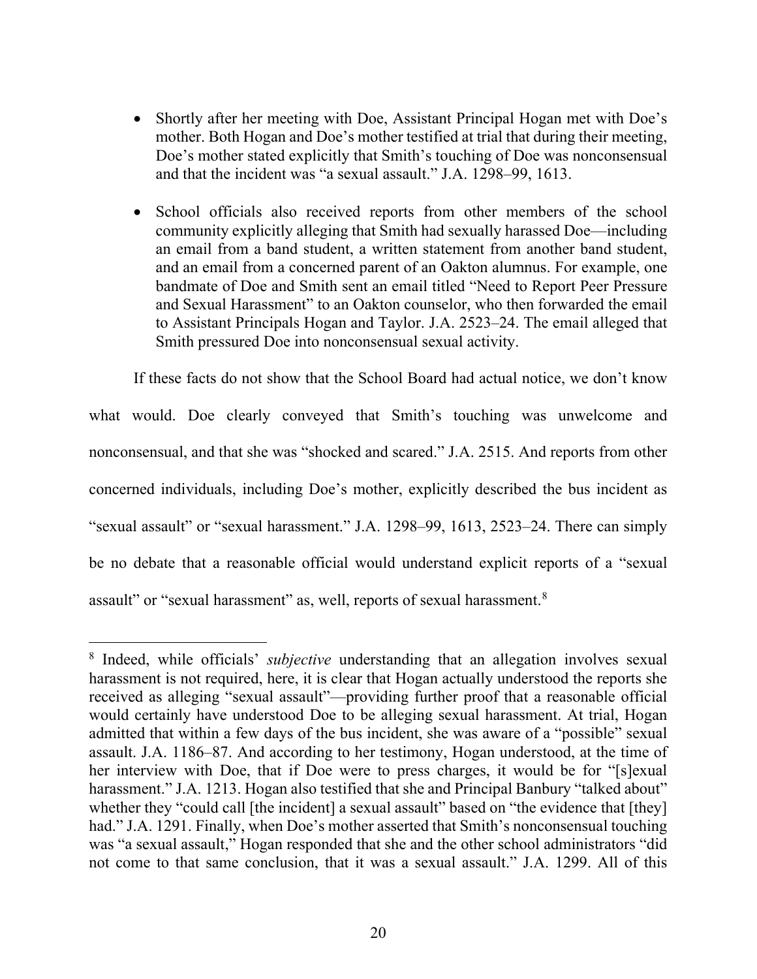- Shortly after her meeting with Doe, Assistant Principal Hogan met with Doe's mother. Both Hogan and Doe's mother testified at trial that during their meeting, Doe's mother stated explicitly that Smith's touching of Doe was nonconsensual and that the incident was "a sexual assault." J.A. 1298–99, 1613.
- School officials also received reports from other members of the school community explicitly alleging that Smith had sexually harassed Doe—including an email from a band student, a written statement from another band student, and an email from a concerned parent of an Oakton alumnus. For example, one bandmate of Doe and Smith sent an email titled "Need to Report Peer Pressure and Sexual Harassment" to an Oakton counselor, who then forwarded the email to Assistant Principals Hogan and Taylor. J.A. 2523–24. The email alleged that Smith pressured Doe into nonconsensual sexual activity.

If these facts do not show that the School Board had actual notice, we don't know what would. Doe clearly conveyed that Smith's touching was unwelcome and nonconsensual, and that she was "shocked and scared." J.A. 2515. And reports from other concerned individuals, including Doe's mother, explicitly described the bus incident as "sexual assault" or "sexual harassment." J.A. 1298–99, 1613, 2523–24. There can simply be no debate that a reasonable official would understand explicit reports of a "sexual assault" or "sexual harassment" as, well, reports of sexual harassment.<sup>[8](#page-19-0)</sup>

<span id="page-19-0"></span><sup>8</sup> Indeed, while officials' *subjective* understanding that an allegation involves sexual harassment is not required, here, it is clear that Hogan actually understood the reports she received as alleging "sexual assault"—providing further proof that a reasonable official would certainly have understood Doe to be alleging sexual harassment. At trial, Hogan admitted that within a few days of the bus incident, she was aware of a "possible" sexual assault. J.A. 1186–87. And according to her testimony, Hogan understood, at the time of her interview with Doe, that if Doe were to press charges, it would be for "[s]exual harassment." J.A. 1213. Hogan also testified that she and Principal Banbury "talked about" whether they "could call [the incident] a sexual assault" based on "the evidence that [they] had." J.A. 1291. Finally, when Doe's mother asserted that Smith's nonconsensual touching was "a sexual assault," Hogan responded that she and the other school administrators "did not come to that same conclusion, that it was a sexual assault." J.A. 1299. All of this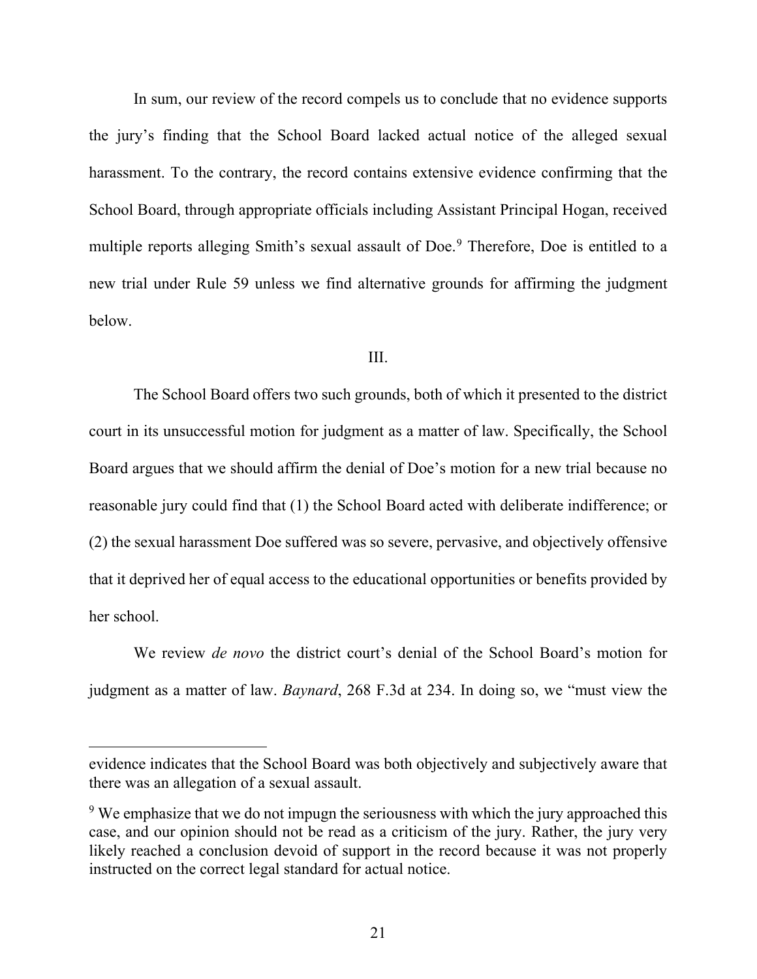In sum, our review of the record compels us to conclude that no evidence supports the jury's finding that the School Board lacked actual notice of the alleged sexual harassment. To the contrary, the record contains extensive evidence confirming that the School Board, through appropriate officials including Assistant Principal Hogan, received multiple reports alleging Smith's sexual assault of Doe. [9](#page-20-0) Therefore, Doe is entitled to a new trial under Rule 59 unless we find alternative grounds for affirming the judgment below.

#### III.

The School Board offers two such grounds, both of which it presented to the district court in its unsuccessful motion for judgment as a matter of law. Specifically, the School Board argues that we should affirm the denial of Doe's motion for a new trial because no reasonable jury could find that (1) the School Board acted with deliberate indifference; or (2) the sexual harassment Doe suffered was so severe, pervasive, and objectively offensive that it deprived her of equal access to the educational opportunities or benefits provided by her school.

We review *de novo* the district court's denial of the School Board's motion for judgment as a matter of law. *Baynard*, 268 F.3d at 234. In doing so, we "must view the

evidence indicates that the School Board was both objectively and subjectively aware that there was an allegation of a sexual assault.

<span id="page-20-0"></span><sup>&</sup>lt;sup>9</sup> We emphasize that we do not impugn the seriousness with which the jury approached this case, and our opinion should not be read as a criticism of the jury. Rather, the jury very likely reached a conclusion devoid of support in the record because it was not properly instructed on the correct legal standard for actual notice.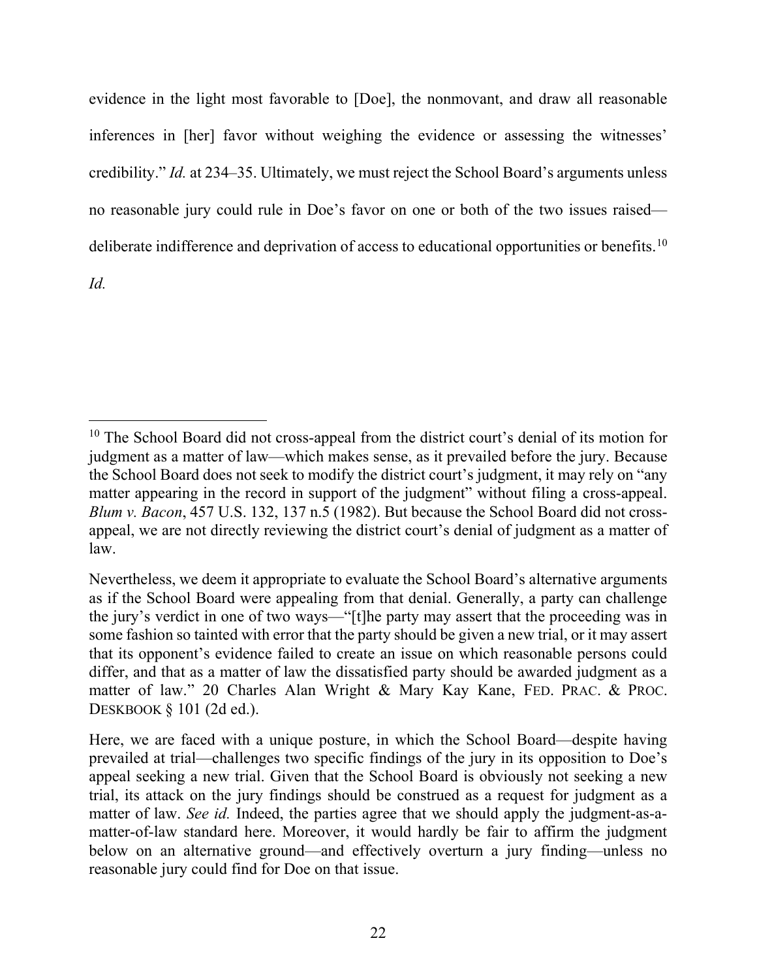evidence in the light most favorable to [Doe], the nonmovant, and draw all reasonable inferences in [her] favor without weighing the evidence or assessing the witnesses' credibility." *Id.* at 234–35. Ultimately, we must reject the School Board's arguments unless no reasonable jury could rule in Doe's favor on one or both of the two issues raised— deliberate indifference and deprivation of access to educational opportunities or benefits.<sup>[10](#page-21-0)</sup>

*Id.*

<span id="page-21-0"></span><sup>&</sup>lt;sup>10</sup> The School Board did not cross-appeal from the district court's denial of its motion for judgment as a matter of law—which makes sense, as it prevailed before the jury. Because the School Board does not seek to modify the district court's judgment, it may rely on "any matter appearing in the record in support of the judgment" without filing a cross-appeal. *Blum v. Bacon*, 457 U.S. 132, 137 n.5 (1982). But because the School Board did not crossappeal, we are not directly reviewing the district court's denial of judgment as a matter of law.

Nevertheless, we deem it appropriate to evaluate the School Board's alternative arguments as if the School Board were appealing from that denial. Generally, a party can challenge the jury's verdict in one of two ways—"[t]he party may assert that the proceeding was in some fashion so tainted with error that the party should be given a new trial, or it may assert that its opponent's evidence failed to create an issue on which reasonable persons could differ, and that as a matter of law the dissatisfied party should be awarded judgment as a matter of law." 20 Charles Alan Wright & Mary Kay Kane, FED. PRAC. & PROC. DESKBOOK § 101 (2d ed.).

Here, we are faced with a unique posture, in which the School Board—despite having prevailed at trial—challenges two specific findings of the jury in its opposition to Doe's appeal seeking a new trial. Given that the School Board is obviously not seeking a new trial, its attack on the jury findings should be construed as a request for judgment as a matter of law. *See id.* Indeed, the parties agree that we should apply the judgment-as-amatter-of-law standard here. Moreover, it would hardly be fair to affirm the judgment below on an alternative ground—and effectively overturn a jury finding—unless no reasonable jury could find for Doe on that issue.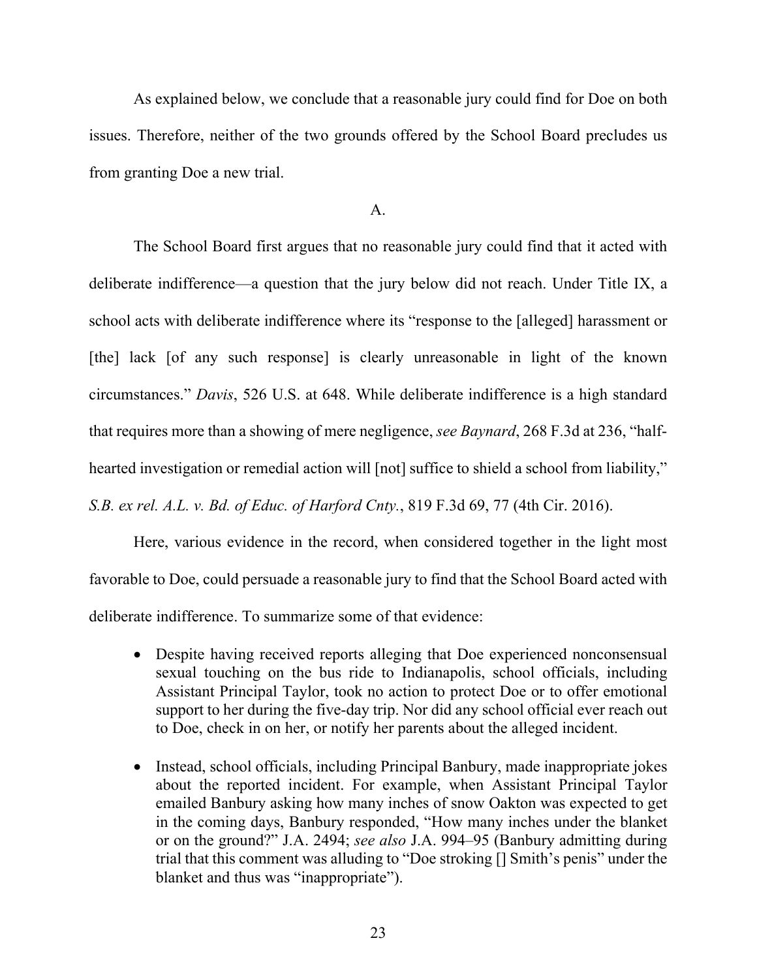As explained below, we conclude that a reasonable jury could find for Doe on both issues. Therefore, neither of the two grounds offered by the School Board precludes us from granting Doe a new trial.

A.

The School Board first argues that no reasonable jury could find that it acted with deliberate indifference—a question that the jury below did not reach. Under Title IX, a school acts with deliberate indifference where its "response to the [alleged] harassment or [the] lack [of any such response] is clearly unreasonable in light of the known circumstances." *Davis*, 526 U.S. at 648. While deliberate indifference is a high standard that requires more than a showing of mere negligence, *see Baynard*, 268 F.3d at 236, "halfhearted investigation or remedial action will [not] suffice to shield a school from liability," *S.B. ex rel. A.L. v. Bd. of Educ. of Harford Cnty.*, 819 F.3d 69, 77 (4th Cir. 2016).

Here, various evidence in the record, when considered together in the light most favorable to Doe, could persuade a reasonable jury to find that the School Board acted with deliberate indifference. To summarize some of that evidence:

- Despite having received reports alleging that Doe experienced nonconsensual sexual touching on the bus ride to Indianapolis, school officials, including Assistant Principal Taylor, took no action to protect Doe or to offer emotional support to her during the five-day trip. Nor did any school official ever reach out to Doe, check in on her, or notify her parents about the alleged incident.
- Instead, school officials, including Principal Banbury, made inappropriate jokes about the reported incident. For example, when Assistant Principal Taylor emailed Banbury asking how many inches of snow Oakton was expected to get in the coming days, Banbury responded, "How many inches under the blanket or on the ground?" J.A. 2494; *see also* J.A. 994–95 (Banbury admitting during trial that this comment was alluding to "Doe stroking [] Smith's penis" under the blanket and thus was "inappropriate").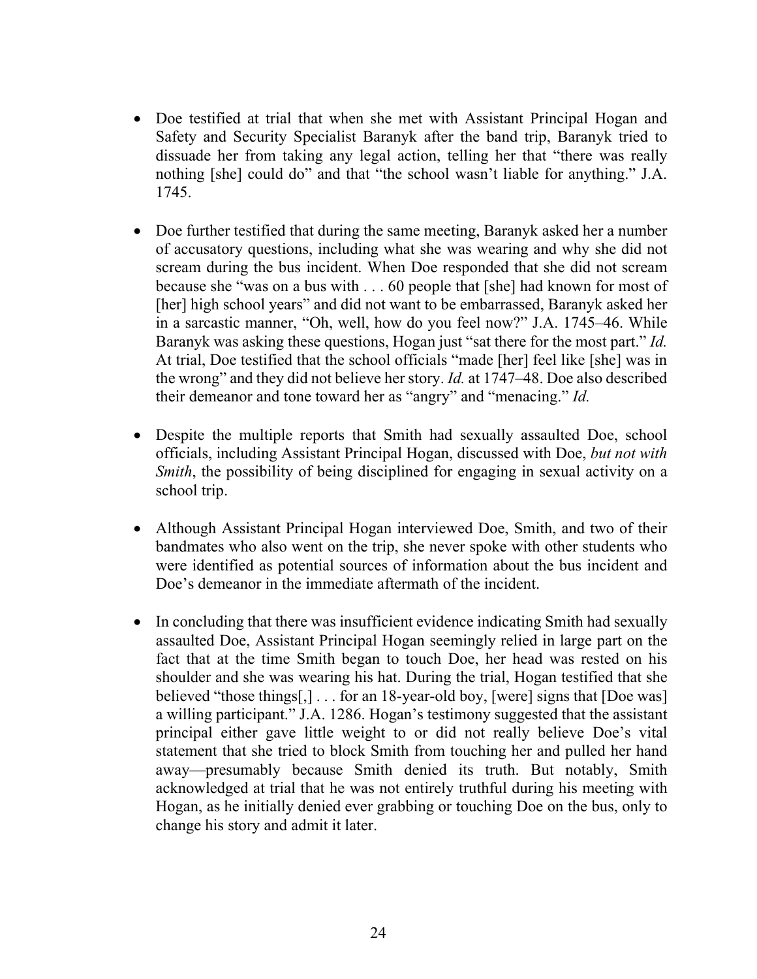- Doe testified at trial that when she met with Assistant Principal Hogan and Safety and Security Specialist Baranyk after the band trip, Baranyk tried to dissuade her from taking any legal action, telling her that "there was really nothing [she] could do" and that "the school wasn't liable for anything." J.A. 1745.
- Doe further testified that during the same meeting, Baranyk asked her a number of accusatory questions, including what she was wearing and why she did not scream during the bus incident. When Doe responded that she did not scream because she "was on a bus with . . . 60 people that [she] had known for most of [her] high school years" and did not want to be embarrassed, Baranyk asked her in a sarcastic manner, "Oh, well, how do you feel now?" J.A. 1745–46. While Baranyk was asking these questions, Hogan just "sat there for the most part." *Id.*  At trial, Doe testified that the school officials "made [her] feel like [she] was in the wrong" and they did not believe her story. *Id.* at 1747–48. Doe also described their demeanor and tone toward her as "angry" and "menacing." *Id.*
- Despite the multiple reports that Smith had sexually assaulted Doe, school officials, including Assistant Principal Hogan, discussed with Doe, *but not with Smith*, the possibility of being disciplined for engaging in sexual activity on a school trip.
- Although Assistant Principal Hogan interviewed Doe, Smith, and two of their bandmates who also went on the trip, she never spoke with other students who were identified as potential sources of information about the bus incident and Doe's demeanor in the immediate aftermath of the incident.
- In concluding that there was insufficient evidence indicating Smith had sexually assaulted Doe, Assistant Principal Hogan seemingly relied in large part on the fact that at the time Smith began to touch Doe, her head was rested on his shoulder and she was wearing his hat. During the trial, Hogan testified that she believed "those things[,] . . . for an 18-year-old boy, [were] signs that [Doe was] a willing participant." J.A. 1286. Hogan's testimony suggested that the assistant principal either gave little weight to or did not really believe Doe's vital statement that she tried to block Smith from touching her and pulled her hand away—presumably because Smith denied its truth. But notably, Smith acknowledged at trial that he was not entirely truthful during his meeting with Hogan, as he initially denied ever grabbing or touching Doe on the bus, only to change his story and admit it later.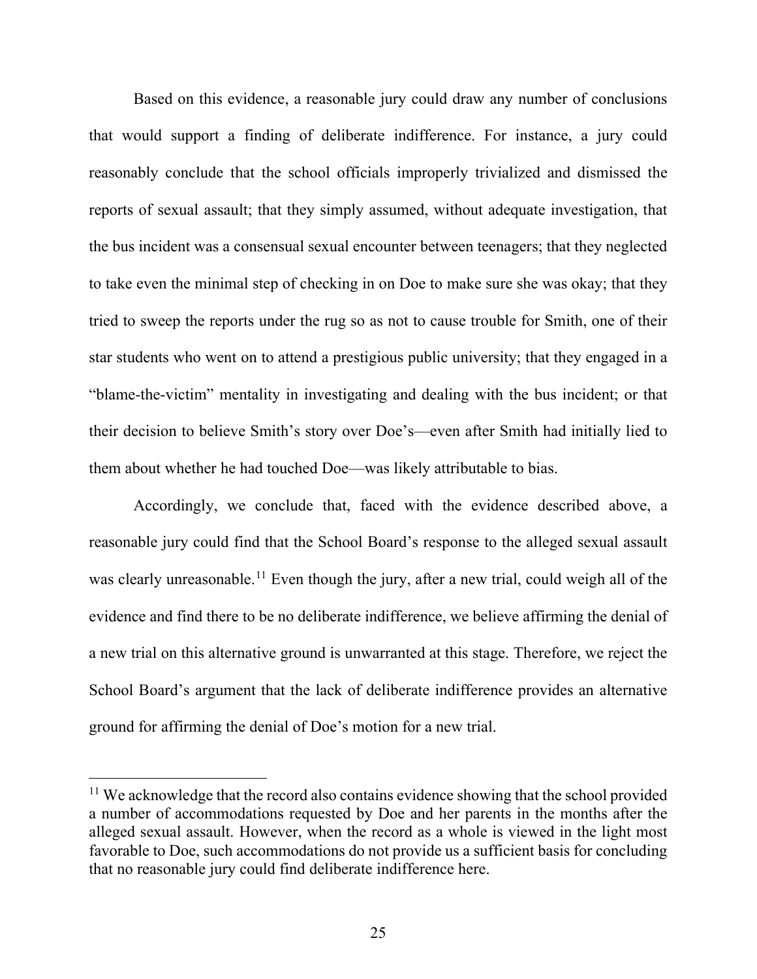Based on this evidence, a reasonable jury could draw any number of conclusions that would support a finding of deliberate indifference. For instance, a jury could reasonably conclude that the school officials improperly trivialized and dismissed the reports of sexual assault; that they simply assumed, without adequate investigation, that the bus incident was a consensual sexual encounter between teenagers; that they neglected to take even the minimal step of checking in on Doe to make sure she was okay; that they tried to sweep the reports under the rug so as not to cause trouble for Smith, one of their star students who went on to attend a prestigious public university; that they engaged in a "blame-the-victim" mentality in investigating and dealing with the bus incident; or that their decision to believe Smith's story over Doe's—even after Smith had initially lied to them about whether he had touched Doe—was likely attributable to bias.

Accordingly, we conclude that, faced with the evidence described above, a reasonable jury could find that the School Board's response to the alleged sexual assault was clearly unreasonable.<sup>[11](#page-24-0)</sup> Even though the jury, after a new trial, could weigh all of the evidence and find there to be no deliberate indifference, we believe affirming the denial of a new trial on this alternative ground is unwarranted at this stage. Therefore, we reject the School Board's argument that the lack of deliberate indifference provides an alternative ground for affirming the denial of Doe's motion for a new trial.

<span id="page-24-0"></span><sup>&</sup>lt;sup>11</sup> We acknowledge that the record also contains evidence showing that the school provided a number of accommodations requested by Doe and her parents in the months after the alleged sexual assault. However, when the record as a whole is viewed in the light most favorable to Doe, such accommodations do not provide us a sufficient basis for concluding that no reasonable jury could find deliberate indifference here.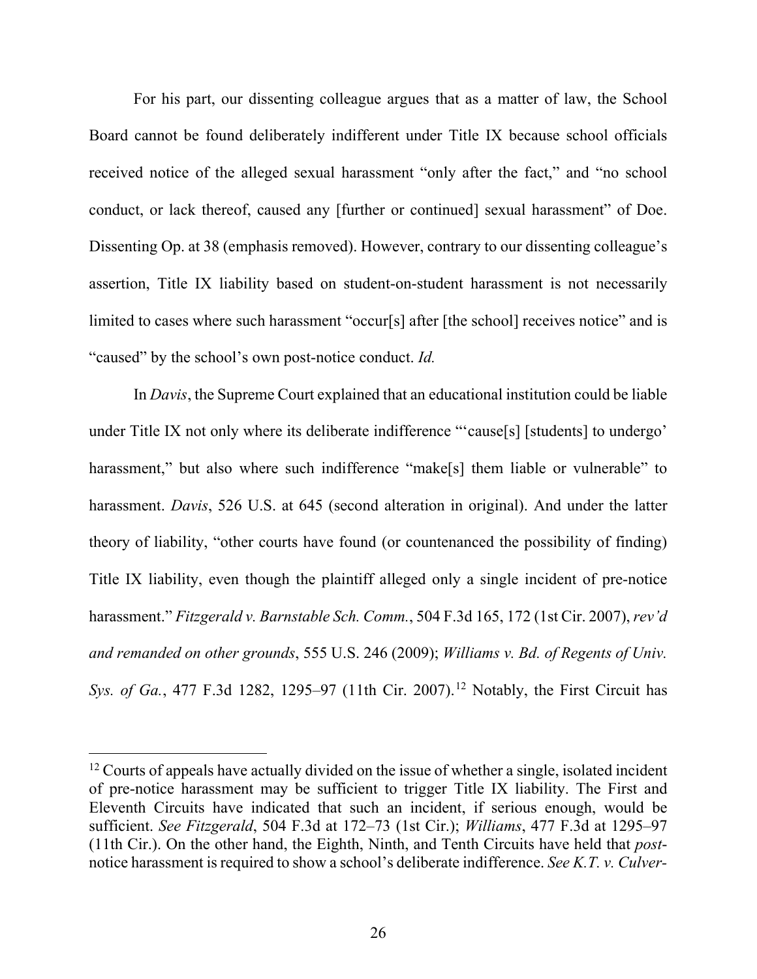For his part, our dissenting colleague argues that as a matter of law, the School Board cannot be found deliberately indifferent under Title IX because school officials received notice of the alleged sexual harassment "only after the fact," and "no school conduct, or lack thereof, caused any [further or continued] sexual harassment" of Doe. Dissenting Op. at 38 (emphasis removed). However, contrary to our dissenting colleague's assertion, Title IX liability based on student-on-student harassment is not necessarily limited to cases where such harassment "occur[s] after [the school] receives notice" and is "caused" by the school's own post-notice conduct. *Id.*

In *Davis*, the Supreme Court explained that an educational institution could be liable under Title IX not only where its deliberate indifference "'cause[s] [students] to undergo' harassment," but also where such indifference "make[s] them liable or vulnerable" to harassment. *Davis*, 526 U.S. at 645 (second alteration in original). And under the latter theory of liability, "other courts have found (or countenanced the possibility of finding) Title IX liability, even though the plaintiff alleged only a single incident of pre-notice harassment." *Fitzgerald v. Barnstable Sch. Comm.*, 504 F.3d 165, 172 (1st Cir. 2007), *rev'd and remanded on other grounds*, 555 U.S. 246 (2009); *Williams v. Bd. of Regents of Univ. Sys. of Ga.*, 477 F.3d 1282, 1295–97 (11th Cir. 2007). [12](#page-25-0) Notably, the First Circuit has

<span id="page-25-0"></span> $12$  Courts of appeals have actually divided on the issue of whether a single, isolated incident of pre-notice harassment may be sufficient to trigger Title IX liability. The First and Eleventh Circuits have indicated that such an incident, if serious enough, would be sufficient. *See Fitzgerald*, 504 F.3d at 172–73 (1st Cir.); *Williams*, 477 F.3d at 1295–97 (11th Cir.). On the other hand, the Eighth, Ninth, and Tenth Circuits have held that *post*notice harassment is required to show a school's deliberate indifference. *See K.T. v. Culver-*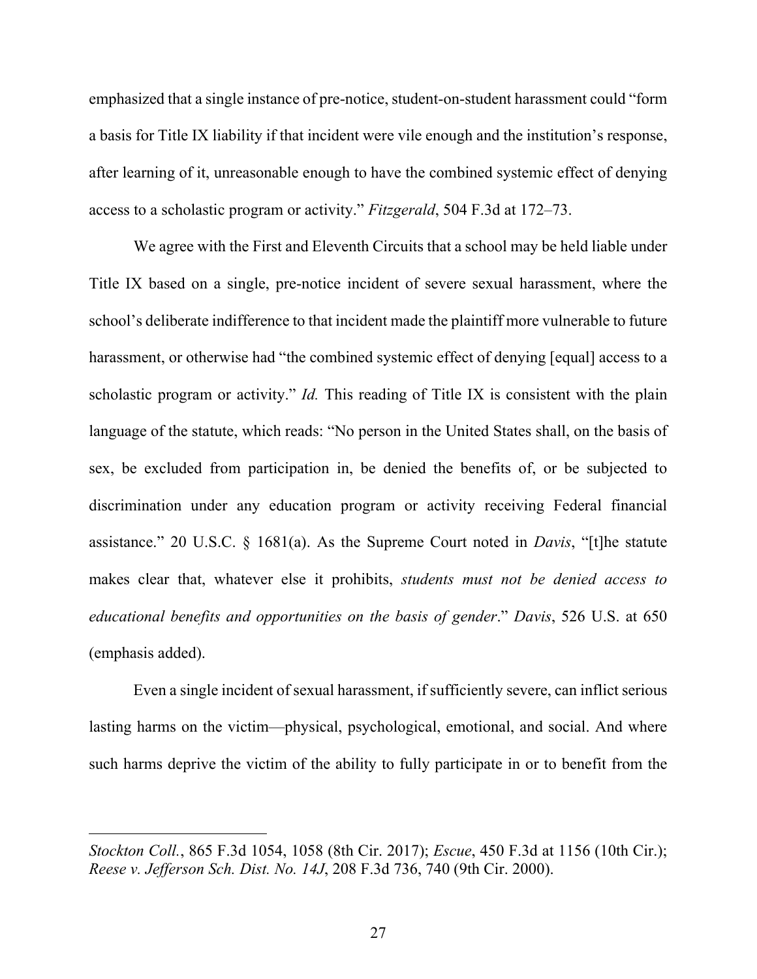emphasized that a single instance of pre-notice, student-on-student harassment could "form a basis for Title IX liability if that incident were vile enough and the institution's response, after learning of it, unreasonable enough to have the combined systemic effect of denying access to a scholastic program or activity." *Fitzgerald*, 504 F.3d at 172–73.

We agree with the First and Eleventh Circuits that a school may be held liable under Title IX based on a single, pre-notice incident of severe sexual harassment, where the school's deliberate indifference to that incident made the plaintiff more vulnerable to future harassment, or otherwise had "the combined systemic effect of denying [equal] access to a scholastic program or activity." *Id.* This reading of Title IX is consistent with the plain language of the statute, which reads: "No person in the United States shall, on the basis of sex, be excluded from participation in, be denied the benefits of, or be subjected to discrimination under any education program or activity receiving Federal financial assistance." 20 U.S.C. § 1681(a). As the Supreme Court noted in *Davis*, "[t]he statute makes clear that, whatever else it prohibits, *students must not be denied access to educational benefits and opportunities on the basis of gender*." *Davis*, 526 U.S. at 650 (emphasis added).

Even a single incident of sexual harassment, if sufficiently severe, can inflict serious lasting harms on the victim—physical, psychological, emotional, and social. And where such harms deprive the victim of the ability to fully participate in or to benefit from the

*Stockton Coll.*, 865 F.3d 1054, 1058 (8th Cir. 2017); *Escue*, 450 F.3d at 1156 (10th Cir.); *Reese v. Jefferson Sch. Dist. No. 14J*, 208 F.3d 736, 740 (9th Cir. 2000).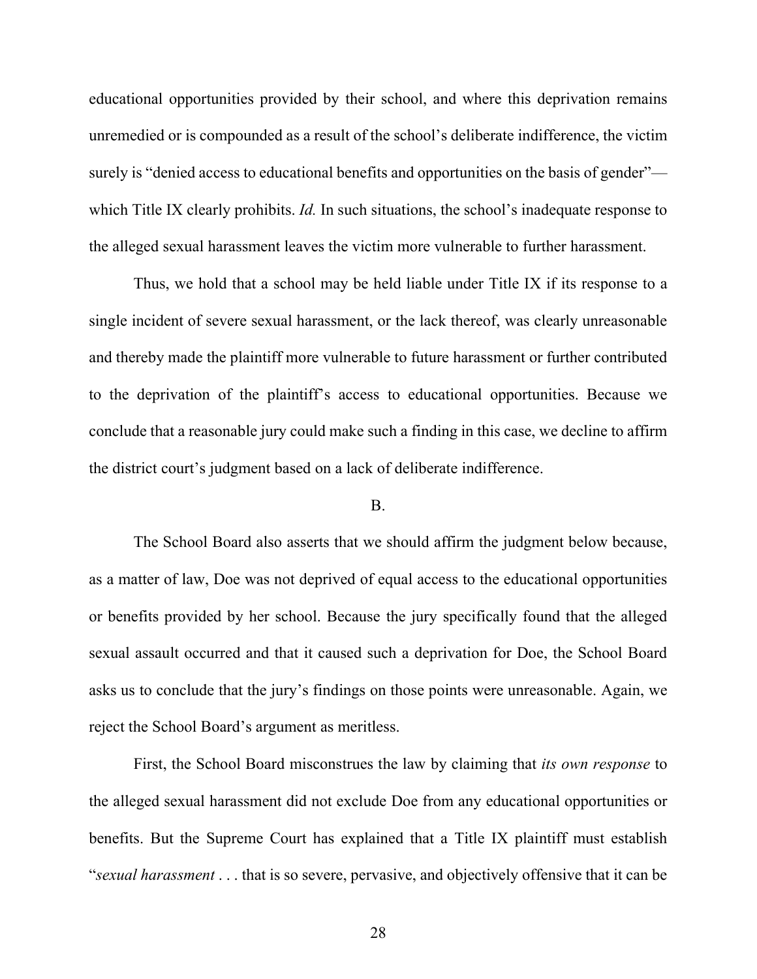educational opportunities provided by their school, and where this deprivation remains unremedied or is compounded as a result of the school's deliberate indifference, the victim surely is "denied access to educational benefits and opportunities on the basis of gender" which Title IX clearly prohibits. *Id.* In such situations, the school's inadequate response to the alleged sexual harassment leaves the victim more vulnerable to further harassment.

Thus, we hold that a school may be held liable under Title IX if its response to a single incident of severe sexual harassment, or the lack thereof, was clearly unreasonable and thereby made the plaintiff more vulnerable to future harassment or further contributed to the deprivation of the plaintiff's access to educational opportunities. Because we conclude that a reasonable jury could make such a finding in this case, we decline to affirm the district court's judgment based on a lack of deliberate indifference.

### B.

The School Board also asserts that we should affirm the judgment below because, as a matter of law, Doe was not deprived of equal access to the educational opportunities or benefits provided by her school. Because the jury specifically found that the alleged sexual assault occurred and that it caused such a deprivation for Doe, the School Board asks us to conclude that the jury's findings on those points were unreasonable. Again, we reject the School Board's argument as meritless.

First, the School Board misconstrues the law by claiming that *its own response* to the alleged sexual harassment did not exclude Doe from any educational opportunities or benefits. But the Supreme Court has explained that a Title IX plaintiff must establish "*sexual harassment* . . . that is so severe, pervasive, and objectively offensive that it can be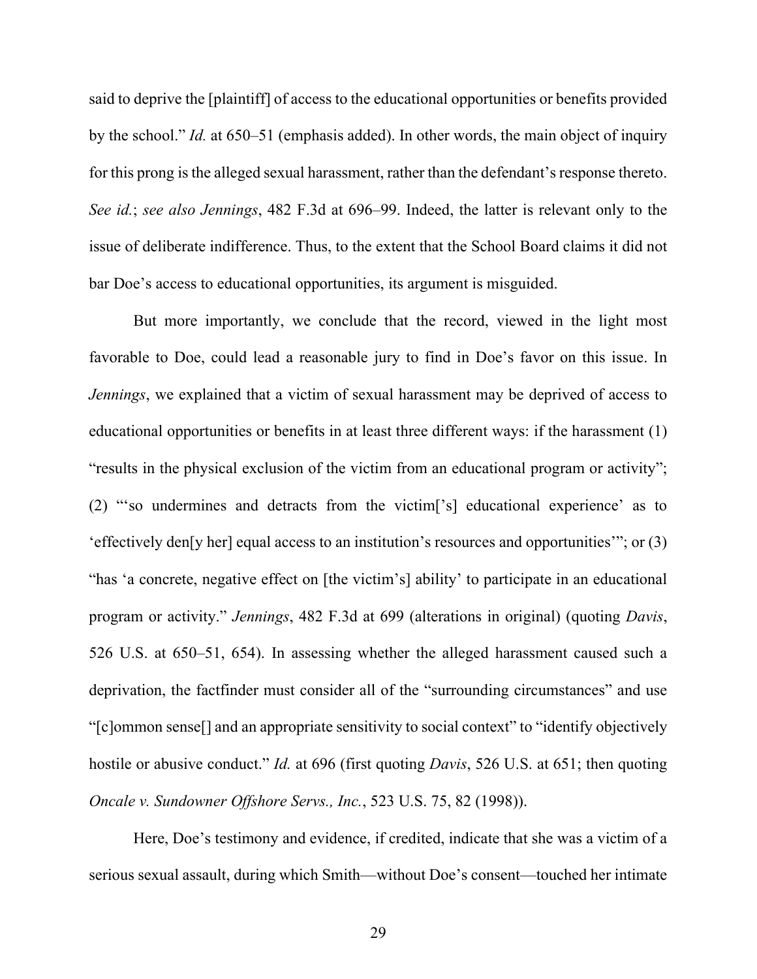said to deprive the [plaintiff] of access to the educational opportunities or benefits provided by the school." *Id.* at 650–51 (emphasis added). In other words, the main object of inquiry for this prong is the alleged sexual harassment, rather than the defendant's response thereto. *See id.*; *see also Jennings*, 482 F.3d at 696–99. Indeed, the latter is relevant only to the issue of deliberate indifference. Thus, to the extent that the School Board claims it did not bar Doe's access to educational opportunities, its argument is misguided.

But more importantly, we conclude that the record, viewed in the light most favorable to Doe, could lead a reasonable jury to find in Doe's favor on this issue. In *Jennings*, we explained that a victim of sexual harassment may be deprived of access to educational opportunities or benefits in at least three different ways: if the harassment (1) "results in the physical exclusion of the victim from an educational program or activity"; (2) "'so undermines and detracts from the victim['s] educational experience' as to 'effectively den[y her] equal access to an institution's resources and opportunities'"; or (3) "has 'a concrete, negative effect on [the victim's] ability' to participate in an educational program or activity." *Jennings*, 482 F.3d at 699 (alterations in original) (quoting *Davis*, 526 U.S. at 650–51, 654). In assessing whether the alleged harassment caused such a deprivation, the factfinder must consider all of the "surrounding circumstances" and use "[c]ommon sense[] and an appropriate sensitivity to social context" to "identify objectively hostile or abusive conduct." *Id.* at 696 (first quoting *Davis*, 526 U.S. at 651; then quoting *Oncale v. Sundowner Offshore Servs., Inc.*, 523 U.S. 75, 82 (1998)).

Here, Doe's testimony and evidence, if credited, indicate that she was a victim of a serious sexual assault, during which Smith—without Doe's consent—touched her intimate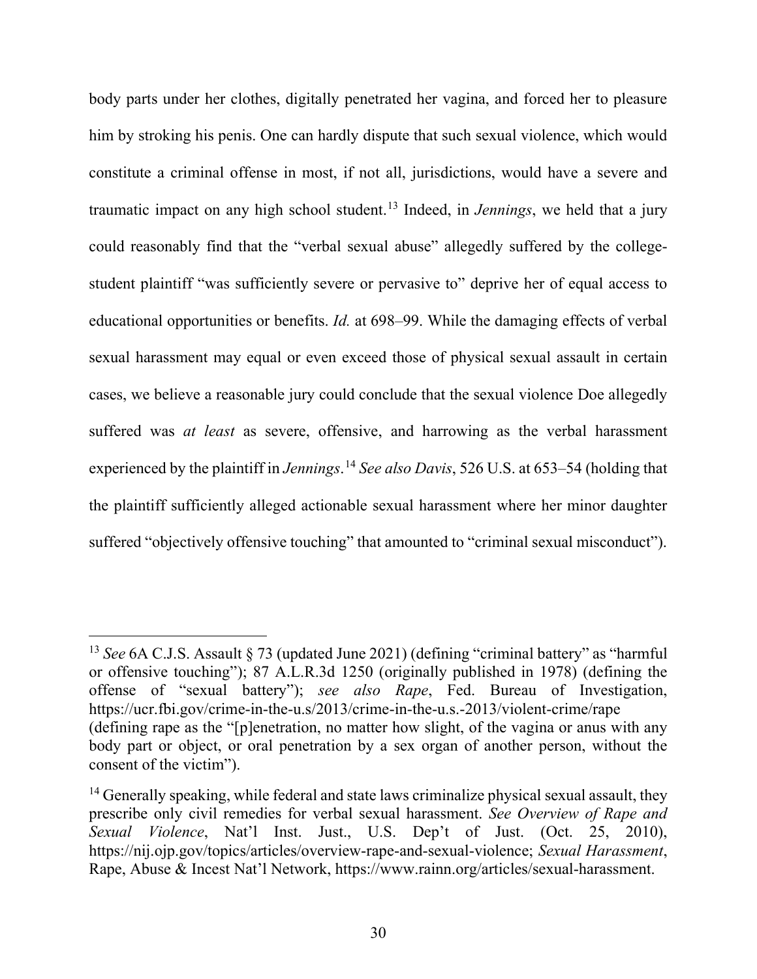body parts under her clothes, digitally penetrated her vagina, and forced her to pleasure him by stroking his penis. One can hardly dispute that such sexual violence, which would constitute a criminal offense in most, if not all, jurisdictions, would have a severe and traumatic impact on any high school student.[13](#page-29-0) Indeed, in *Jennings*, we held that a jury could reasonably find that the "verbal sexual abuse" allegedly suffered by the collegestudent plaintiff "was sufficiently severe or pervasive to" deprive her of equal access to educational opportunities or benefits. *Id.* at 698–99. While the damaging effects of verbal sexual harassment may equal or even exceed those of physical sexual assault in certain cases, we believe a reasonable jury could conclude that the sexual violence Doe allegedly suffered was *at least* as severe, offensive, and harrowing as the verbal harassment experienced by the plaintiff in *Jennings*. [14](#page-29-1) *See also Davis*, 526 U.S. at 653–54 (holding that the plaintiff sufficiently alleged actionable sexual harassment where her minor daughter suffered "objectively offensive touching" that amounted to "criminal sexual misconduct").

<span id="page-29-0"></span><sup>13</sup> *See* 6A C.J.S. Assault § 73 (updated June 2021) (defining "criminal battery" as "harmful or offensive touching"); 87 A.L.R.3d 1250 (originally published in 1978) (defining the offense of "sexual battery"); *see also Rape*, Fed. Bureau of Investigation, https://ucr.fbi.gov/crime-in-the-u.s/2013/crime-in-the-u.s.-2013/violent-crime/rape (defining rape as the "[p]enetration, no matter how slight, of the vagina or anus with any body part or object, or oral penetration by a sex organ of another person, without the consent of the victim").

<span id="page-29-1"></span> $14$  Generally speaking, while federal and state laws criminalize physical sexual assault, they prescribe only civil remedies for verbal sexual harassment. *See Overview of Rape and Sexual Violence*, Nat'l Inst. Just., U.S. Dep't of Just. (Oct. 25, 2010), https://nij.ojp.gov/topics/articles/overview-rape-and-sexual-violence; *Sexual Harassment*, Rape, Abuse & Incest Nat'l Network, https://www.rainn.org/articles/sexual-harassment.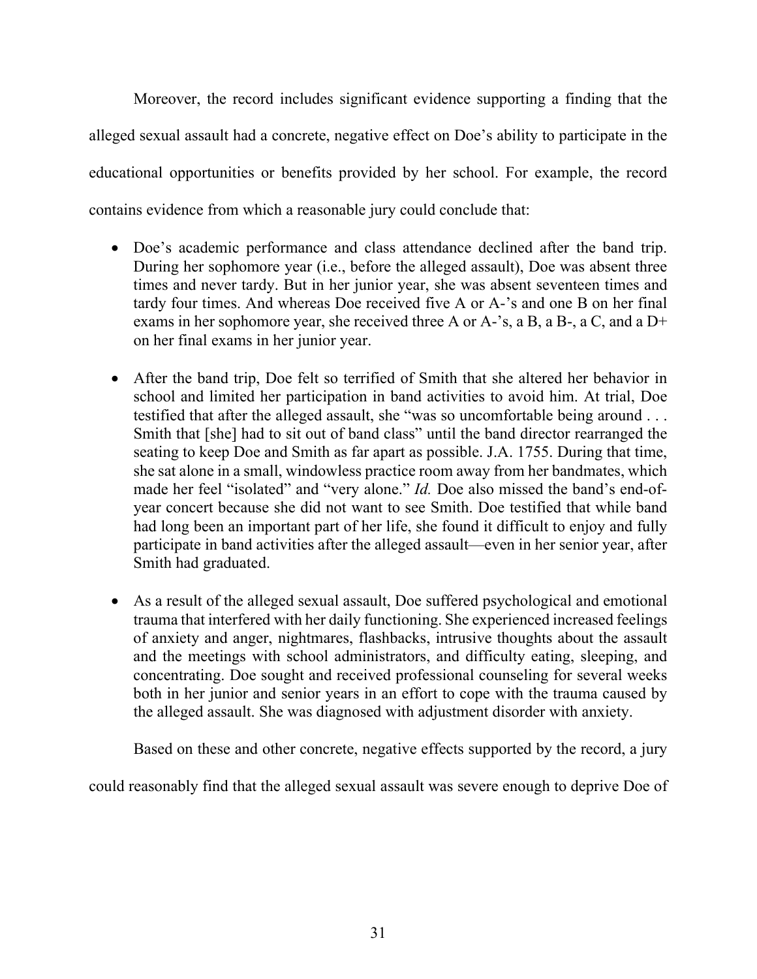Moreover, the record includes significant evidence supporting a finding that the alleged sexual assault had a concrete, negative effect on Doe's ability to participate in the educational opportunities or benefits provided by her school. For example, the record contains evidence from which a reasonable jury could conclude that:

- Doe's academic performance and class attendance declined after the band trip. During her sophomore year (i.e., before the alleged assault), Doe was absent three times and never tardy. But in her junior year, she was absent seventeen times and tardy four times. And whereas Doe received five A or A-'s and one B on her final exams in her sophomore year, she received three A or A-'s, a B, a B-, a C, and a D+ on her final exams in her junior year.
- After the band trip, Doe felt so terrified of Smith that she altered her behavior in school and limited her participation in band activities to avoid him. At trial, Doe testified that after the alleged assault, she "was so uncomfortable being around . . . Smith that [she] had to sit out of band class" until the band director rearranged the seating to keep Doe and Smith as far apart as possible. J.A. 1755. During that time, she sat alone in a small, windowless practice room away from her bandmates, which made her feel "isolated" and "very alone." *Id*. Doe also missed the band's end-ofyear concert because she did not want to see Smith. Doe testified that while band had long been an important part of her life, she found it difficult to enjoy and fully participate in band activities after the alleged assault—even in her senior year, after Smith had graduated.
- As a result of the alleged sexual assault, Doe suffered psychological and emotional trauma that interfered with her daily functioning. She experienced increased feelings of anxiety and anger, nightmares, flashbacks, intrusive thoughts about the assault and the meetings with school administrators, and difficulty eating, sleeping, and concentrating. Doe sought and received professional counseling for several weeks both in her junior and senior years in an effort to cope with the trauma caused by the alleged assault. She was diagnosed with adjustment disorder with anxiety.

Based on these and other concrete, negative effects supported by the record, a jury

could reasonably find that the alleged sexual assault was severe enough to deprive Doe of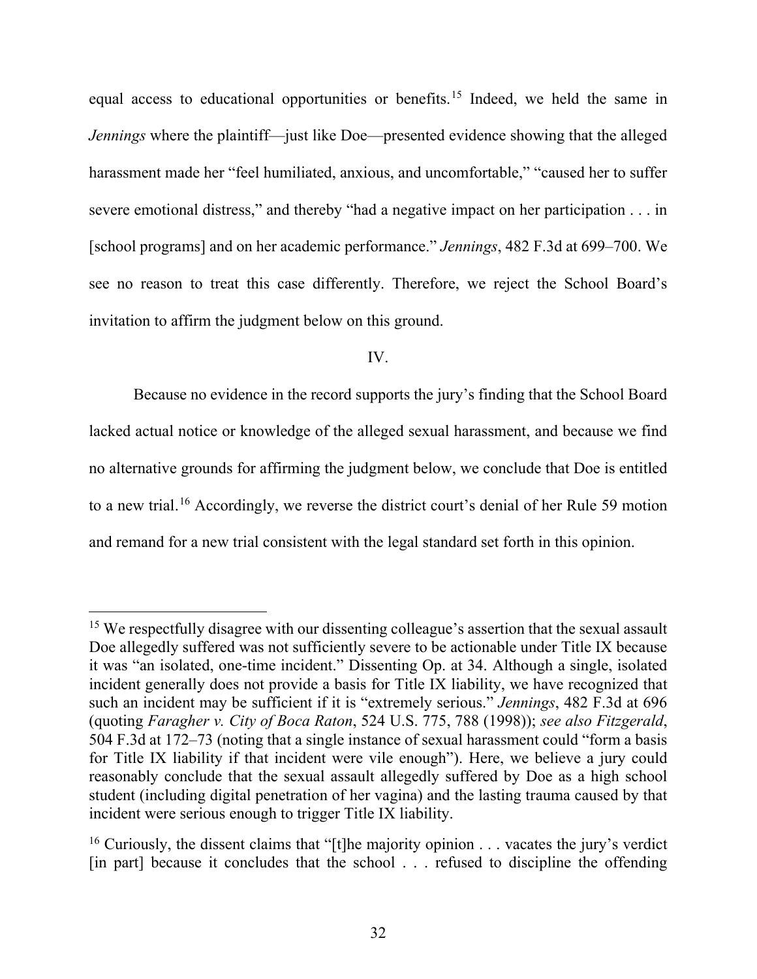equal access to educational opportunities or benefits.[15](#page-31-0) Indeed, we held the same in *Jennings* where the plaintiff—just like Doe—presented evidence showing that the alleged harassment made her "feel humiliated, anxious, and uncomfortable," "caused her to suffer severe emotional distress," and thereby "had a negative impact on her participation . . . in [school programs] and on her academic performance." *Jennings*, 482 F.3d at 699–700. We see no reason to treat this case differently. Therefore, we reject the School Board's invitation to affirm the judgment below on this ground.

# IV.

Because no evidence in the record supports the jury's finding that the School Board lacked actual notice or knowledge of the alleged sexual harassment, and because we find no alternative grounds for affirming the judgment below, we conclude that Doe is entitled to a new trial.<sup>[16](#page-31-1)</sup> Accordingly, we reverse the district court's denial of her Rule 59 motion and remand for a new trial consistent with the legal standard set forth in this opinion.

<span id="page-31-0"></span><sup>&</sup>lt;sup>15</sup> We respectfully disagree with our dissenting colleague's assertion that the sexual assault Doe allegedly suffered was not sufficiently severe to be actionable under Title IX because it was "an isolated, one-time incident." Dissenting Op. at 34. Although a single, isolated incident generally does not provide a basis for Title IX liability, we have recognized that such an incident may be sufficient if it is "extremely serious." *Jennings*, 482 F.3d at 696 (quoting *Faragher v. City of Boca Raton*, 524 U.S. 775, 788 (1998)); *see also Fitzgerald*, 504 F.3d at 172–73 (noting that a single instance of sexual harassment could "form a basis for Title IX liability if that incident were vile enough"). Here, we believe a jury could reasonably conclude that the sexual assault allegedly suffered by Doe as a high school student (including digital penetration of her vagina) and the lasting trauma caused by that incident were serious enough to trigger Title IX liability.

<span id="page-31-1"></span><sup>&</sup>lt;sup>16</sup> Curiously, the dissent claims that "[t]he majority opinion  $\ldots$  vacates the jury's verdict [in part] because it concludes that the school . . . refused to discipline the offending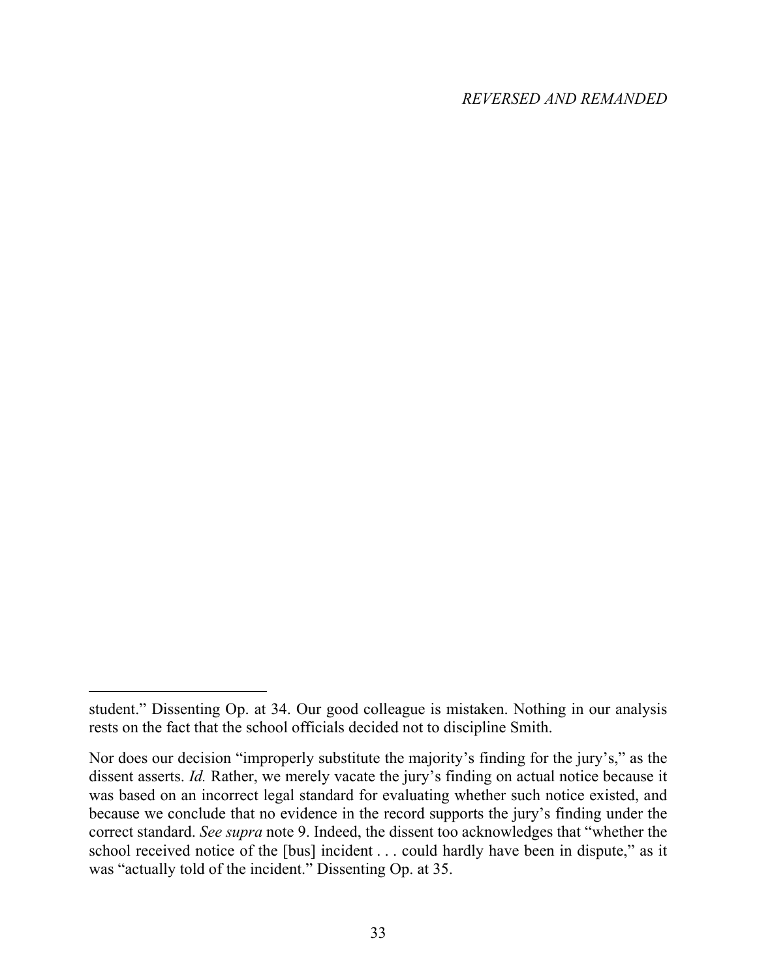# *REVERSED AND REMANDED*

student." Dissenting Op. at 34. Our good colleague is mistaken. Nothing in our analysis rests on the fact that the school officials decided not to discipline Smith.

Nor does our decision "improperly substitute the majority's finding for the jury's," as the dissent asserts. *Id.* Rather, we merely vacate the jury's finding on actual notice because it was based on an incorrect legal standard for evaluating whether such notice existed, and because we conclude that no evidence in the record supports the jury's finding under the correct standard. *See supra* note 9. Indeed, the dissent too acknowledges that "whether the school received notice of the [bus] incident . . . could hardly have been in dispute," as it was "actually told of the incident." Dissenting Op. at 35.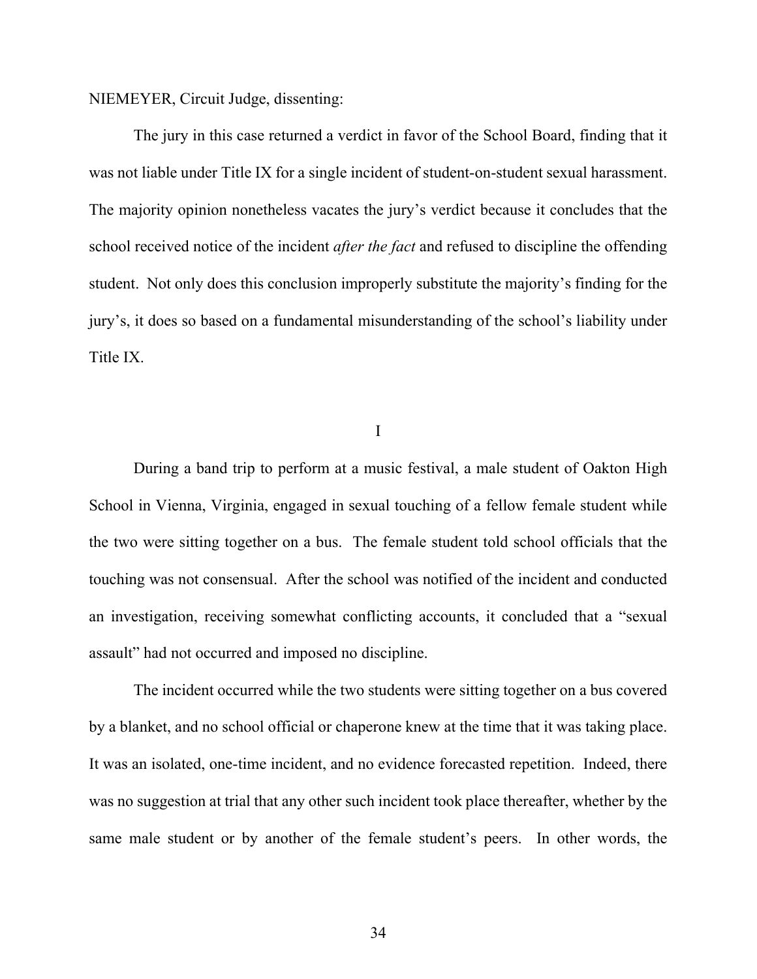NIEMEYER, Circuit Judge, dissenting:

The jury in this case returned a verdict in favor of the School Board, finding that it was not liable under Title IX for a single incident of student-on-student sexual harassment. The majority opinion nonetheless vacates the jury's verdict because it concludes that the school received notice of the incident *after the fact* and refused to discipline the offending student. Not only does this conclusion improperly substitute the majority's finding for the jury's, it does so based on a fundamental misunderstanding of the school's liability under Title IX.

I

During a band trip to perform at a music festival, a male student of Oakton High School in Vienna, Virginia, engaged in sexual touching of a fellow female student while the two were sitting together on a bus. The female student told school officials that the touching was not consensual. After the school was notified of the incident and conducted an investigation, receiving somewhat conflicting accounts, it concluded that a "sexual assault" had not occurred and imposed no discipline.

The incident occurred while the two students were sitting together on a bus covered by a blanket, and no school official or chaperone knew at the time that it was taking place. It was an isolated, one-time incident, and no evidence forecasted repetition. Indeed, there was no suggestion at trial that any other such incident took place thereafter, whether by the same male student or by another of the female student's peers. In other words, the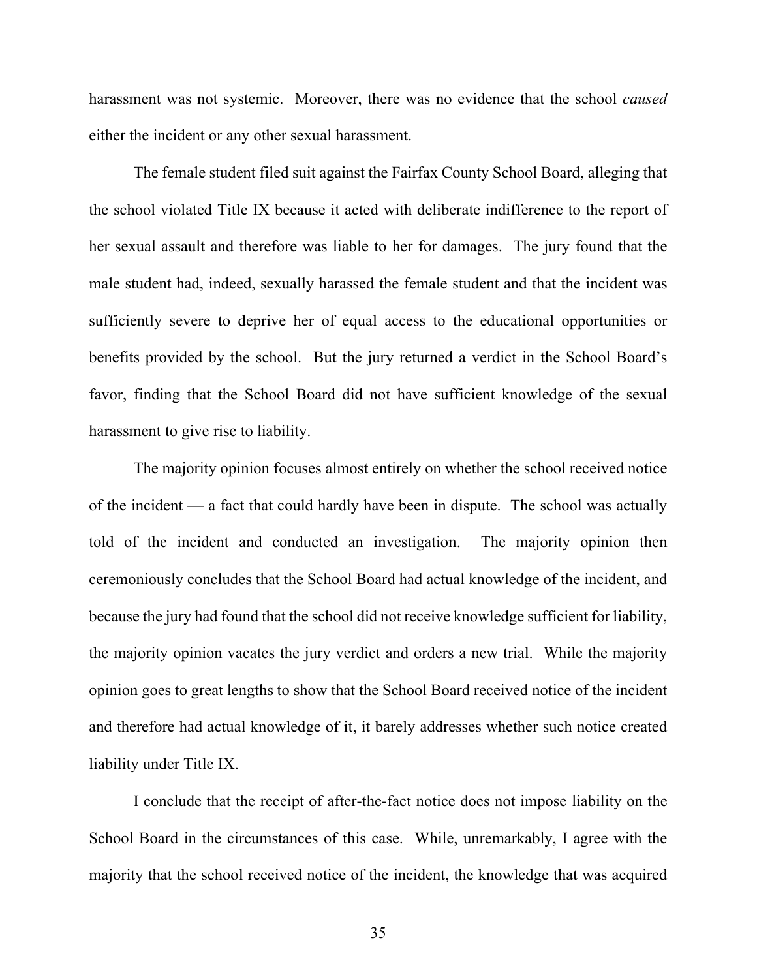harassment was not systemic. Moreover, there was no evidence that the school *caused* either the incident or any other sexual harassment.

The female student filed suit against the Fairfax County School Board, alleging that the school violated Title IX because it acted with deliberate indifference to the report of her sexual assault and therefore was liable to her for damages. The jury found that the male student had, indeed, sexually harassed the female student and that the incident was sufficiently severe to deprive her of equal access to the educational opportunities or benefits provided by the school. But the jury returned a verdict in the School Board's favor, finding that the School Board did not have sufficient knowledge of the sexual harassment to give rise to liability.

The majority opinion focuses almost entirely on whether the school received notice of the incident — a fact that could hardly have been in dispute. The school was actually told of the incident and conducted an investigation. The majority opinion then ceremoniously concludes that the School Board had actual knowledge of the incident, and because the jury had found that the school did not receive knowledge sufficient for liability, the majority opinion vacates the jury verdict and orders a new trial. While the majority opinion goes to great lengths to show that the School Board received notice of the incident and therefore had actual knowledge of it, it barely addresses whether such notice created liability under Title IX.

I conclude that the receipt of after-the-fact notice does not impose liability on the School Board in the circumstances of this case. While, unremarkably, I agree with the majority that the school received notice of the incident, the knowledge that was acquired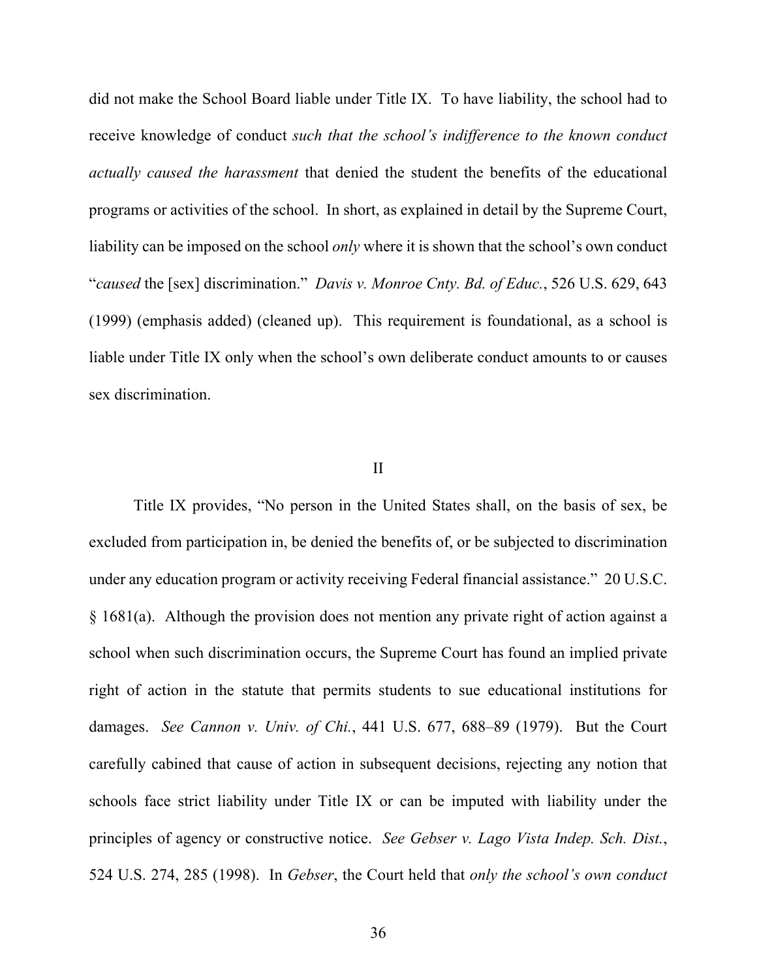did not make the School Board liable under Title IX. To have liability, the school had to receive knowledge of conduct *such that the school's indifference to the known conduct actually caused the harassment* that denied the student the benefits of the educational programs or activities of the school. In short, as explained in detail by the Supreme Court, liability can be imposed on the school *only* where it is shown that the school's own conduct "*caused* the [sex] discrimination." *Davis v. Monroe Cnty. Bd. of Educ.*, 526 U.S. 629, 643 (1999) (emphasis added) (cleaned up). This requirement is foundational, as a school is liable under Title IX only when the school's own deliberate conduct amounts to or causes sex discrimination.

### II

Title IX provides, "No person in the United States shall, on the basis of sex, be excluded from participation in, be denied the benefits of, or be subjected to discrimination under any education program or activity receiving Federal financial assistance." 20 U.S.C. § 1681(a). Although the provision does not mention any private right of action against a school when such discrimination occurs, the Supreme Court has found an implied private right of action in the statute that permits students to sue educational institutions for damages. *See Cannon v. Univ. of Chi.*, 441 U.S. 677, 688–89 (1979). But the Court carefully cabined that cause of action in subsequent decisions, rejecting any notion that schools face strict liability under Title IX or can be imputed with liability under the principles of agency or constructive notice. *See Gebser v. Lago Vista Indep. Sch. Dist.*, 524 U.S. 274, 285 (1998). In *Gebser*, the Court held that *only the school's own conduct*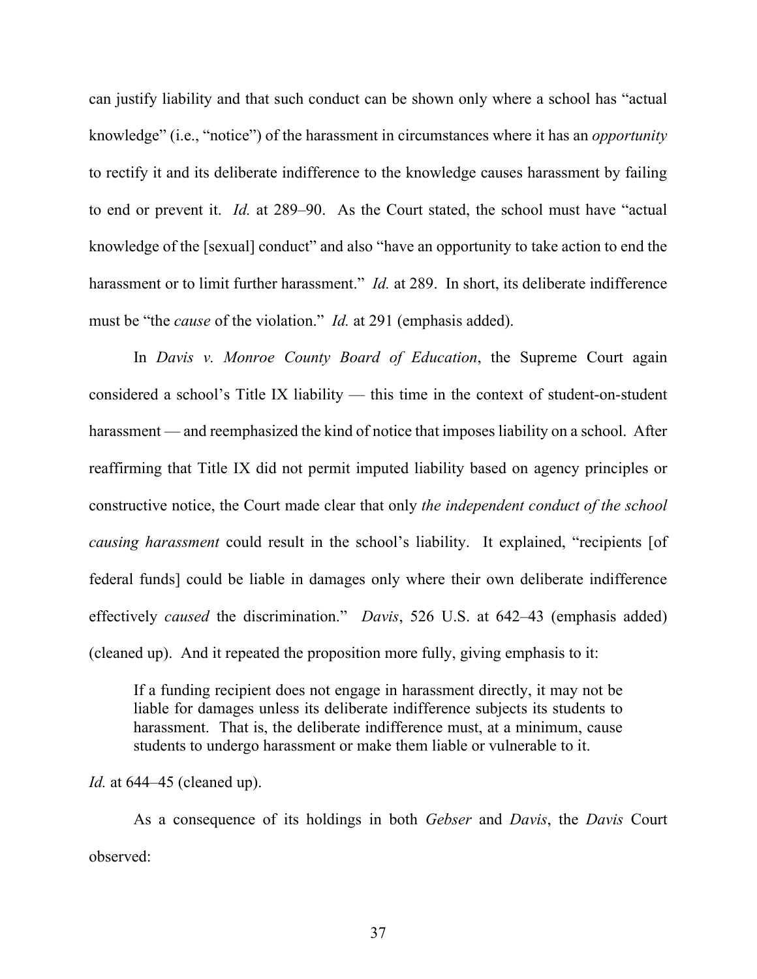can justify liability and that such conduct can be shown only where a school has "actual knowledge" (i.e., "notice") of the harassment in circumstances where it has an *opportunity* to rectify it and its deliberate indifference to the knowledge causes harassment by failing to end or prevent it. *Id.* at 289–90. As the Court stated, the school must have "actual knowledge of the [sexual] conduct" and also "have an opportunity to take action to end the harassment or to limit further harassment." *Id.* at 289. In short, its deliberate indifference must be "the *cause* of the violation." *Id.* at 291 (emphasis added).

In *Davis v. Monroe County Board of Education*, the Supreme Court again considered a school's Title IX liability — this time in the context of student-on-student harassment — and reemphasized the kind of notice that imposes liability on a school. After reaffirming that Title IX did not permit imputed liability based on agency principles or constructive notice, the Court made clear that only *the independent conduct of the school causing harassment* could result in the school's liability. It explained, "recipients [of federal funds] could be liable in damages only where their own deliberate indifference effectively *caused* the discrimination." *Davis*, 526 U.S. at 642–43 (emphasis added) (cleaned up). And it repeated the proposition more fully, giving emphasis to it:

If a funding recipient does not engage in harassment directly, it may not be liable for damages unless its deliberate indifference subjects its students to harassment. That is, the deliberate indifference must, at a minimum, cause students to undergo harassment or make them liable or vulnerable to it.

*Id.* at 644–45 (cleaned up).

As a consequence of its holdings in both *Gebser* and *Davis*, the *Davis* Court observed:

37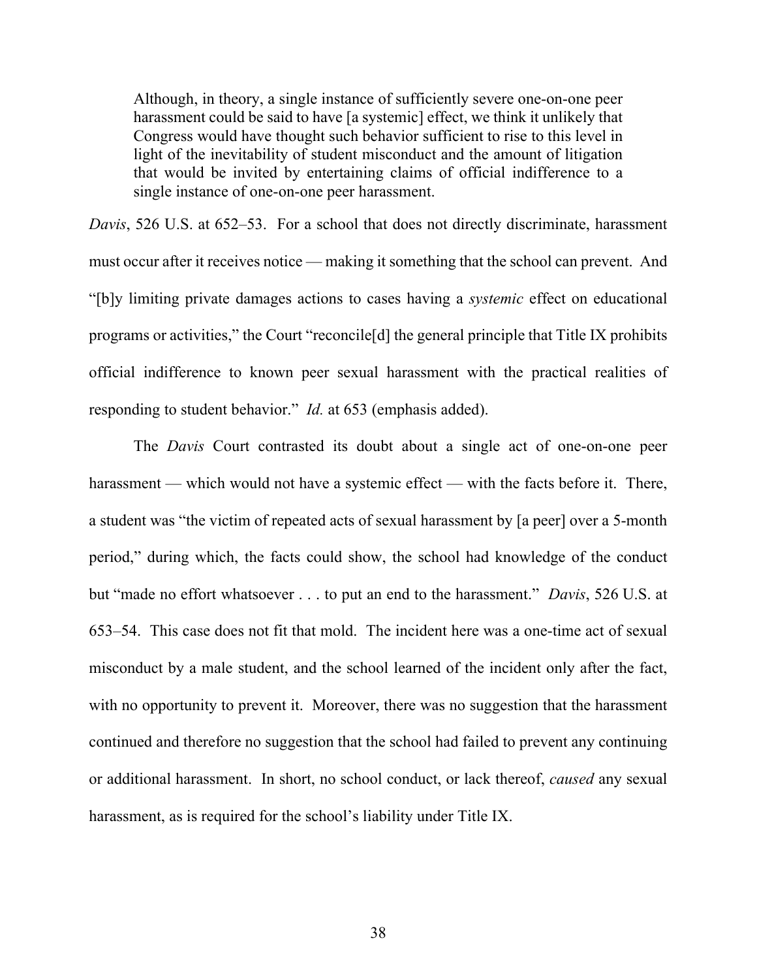Although, in theory, a single instance of sufficiently severe one-on-one peer harassment could be said to have [a systemic] effect, we think it unlikely that Congress would have thought such behavior sufficient to rise to this level in light of the inevitability of student misconduct and the amount of litigation that would be invited by entertaining claims of official indifference to a single instance of one-on-one peer harassment.

*Davis*, 526 U.S. at 652–53. For a school that does not directly discriminate, harassment must occur after it receives notice — making it something that the school can prevent. And "[b]y limiting private damages actions to cases having a *systemic* effect on educational programs or activities," the Court "reconcile[d] the general principle that Title IX prohibits official indifference to known peer sexual harassment with the practical realities of responding to student behavior." *Id.* at 653 (emphasis added).

The *Davis* Court contrasted its doubt about a single act of one-on-one peer harassment — which would not have a systemic effect — with the facts before it. There, a student was "the victim of repeated acts of sexual harassment by [a peer] over a 5-month period," during which, the facts could show, the school had knowledge of the conduct but "made no effort whatsoever . . . to put an end to the harassment." *Davis*, 526 U.S. at 653–54. This case does not fit that mold. The incident here was a one-time act of sexual misconduct by a male student, and the school learned of the incident only after the fact, with no opportunity to prevent it. Moreover, there was no suggestion that the harassment continued and therefore no suggestion that the school had failed to prevent any continuing or additional harassment. In short, no school conduct, or lack thereof, *caused* any sexual harassment, as is required for the school's liability under Title IX.